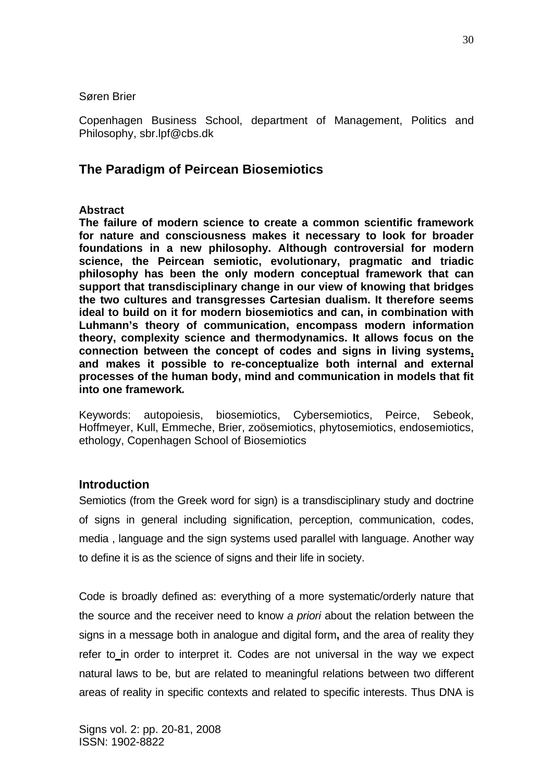Søren Brier

Copenhagen Business School, department of Management, Politics and Philosophy, sbr.lpf@cbs.dk

# **The Paradigm of Peircean Biosemiotics**

### **Abstract**

**The failure of modern science to create a common scientific framework for nature and consciousness makes it necessary to look for broader foundations in a new philosophy. Although controversial for modern science, the Peircean semiotic, evolutionary, pragmatic and triadic philosophy has been the only modern conceptual framework that can support that transdisciplinary change in our view of knowing that bridges the two cultures and transgresses Cartesian dualism. It therefore seems ideal to build on it for modern biosemiotics and can, in combination with Luhmann's theory of communication, encompass modern information theory, complexity science and thermodynamics. It allows focus on the connection between the concept of codes and signs in living systems, and makes it possible to re-conceptualize both internal and external processes of the human body, mind and communication in models that fit into one framework***.* 

Keywords: autopoiesis, biosemiotics, Cybersemiotics, Peirce, Sebeok, Hoffmeyer, Kull, Emmeche, Brier, zoösemiotics, phytosemiotics, endosemiotics, ethology, Copenhagen School of Biosemiotics

### **Introduction**

Semiotics (from the Greek word for sign) is a transdisciplinary study and doctrine of signs in general including signification, perception, communication, codes, media , language and the sign systems used parallel with language. Another way to define it is as the science of signs and their life in society.

Code is broadly defined as: everything of a more systematic/orderly nature that the source and the receiver need to know *a priori* about the relation between the signs in a message both in analogue and digital form**,** and the area of reality they refer to in order to interpret it. Codes are not universal in the way we expect natural laws to be, but are related to meaningful relations between two different areas of reality in specific contexts and related to specific interests. Thus DNA is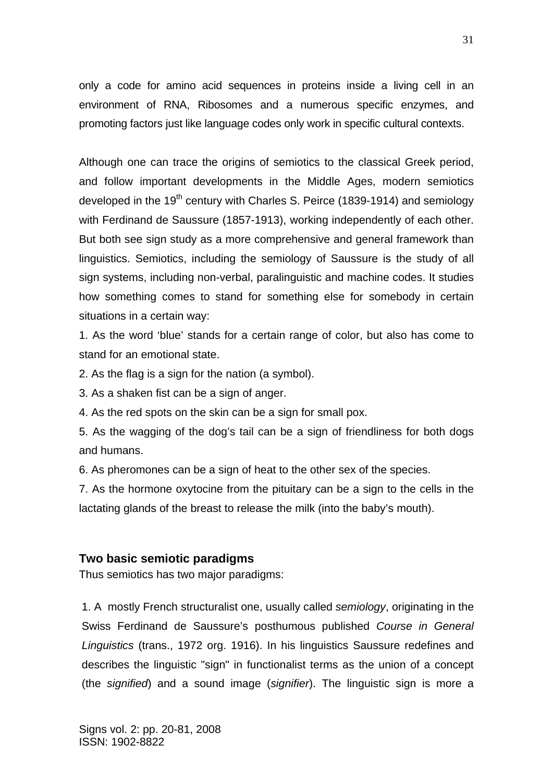only a code for amino acid sequences in proteins inside a living cell in an environment of RNA, Ribosomes and a numerous specific enzymes, and promoting factors just like language codes only work in specific cultural contexts.

Although one can trace the origins of semiotics to the classical Greek period, and follow important developments in the Middle Ages, modern semiotics developed in the 19<sup>th</sup> century with Charles S. Peirce (1839-1914) and semiology with Ferdinand de Saussure (1857-1913), working independently of each other. But both see sign study as a more comprehensive and general framework than linguistics. Semiotics, including the semiology of Saussure is the study of all sign systems, including non-verbal, paralinguistic and machine codes. It studies how something comes to stand for something else for somebody in certain situations in a certain way:

1. As the word 'blue' stands for a certain range of color, but also has come to stand for an emotional state.

2. As the flag is a sign for the nation (a symbol).

3. As a shaken fist can be a sign of anger.

4. As the red spots on the skin can be a sign for small pox.

5. As the wagging of the dog's tail can be a sign of friendliness for both dogs and humans.

6. As pheromones can be a sign of heat to the other sex of the species.

7. As the hormone oxytocine from the pituitary can be a sign to the cells in the lactating glands of the breast to release the milk (into the baby's mouth).

### **Two basic semiotic paradigms**

Thus semiotics has two major paradigms:

1. A mostly French structuralist one, usually called *semiology*, originating in the Swiss Ferdinand de Saussure's posthumous published *Course in General Linguistics* (trans., 1972 org. 1916). In his linguistics Saussure redefines and describes the linguistic "sign" in functionalist terms as the union of a concept (the *signified*) and a sound image (*signifier*). The linguistic sign is more a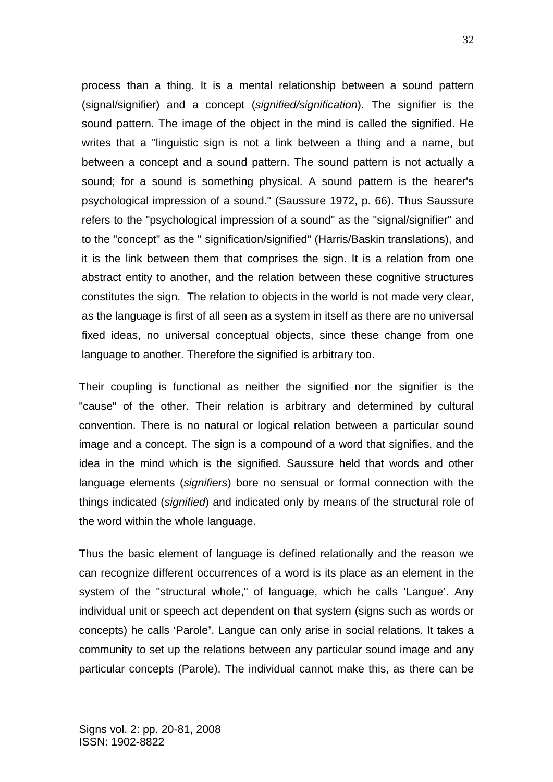process than a thing. It is a mental relationship between a sound pattern (signal/signifier) and a concept (*signified/signification*). The signifier is the sound pattern. The image of the object in the mind is called the signified. He writes that a "linguistic sign is not a link between a thing and a name, but between a concept and a sound pattern. The sound pattern is not actually a sound; for a sound is something physical. A sound pattern is the hearer's psychological impression of a sound." (Saussure 1972, p. 66). Thus Saussure refers to the "psychological impression of a sound" as the "signal/signifier" and to the "concept" as the " signification/signified" (Harris/Baskin translations), and it is the link between them that comprises the sign. It is a relation from one abstract entity to another, and the relation between these cognitive structures constitutes the sign. The relation to objects in the world is not made very clear, as the language is first of all seen as a system in itself as there are no universal fixed ideas, no universal conceptual objects, since these change from one language to another. Therefore the signified is arbitrary too.

Their coupling is functional as neither the signified nor the signifier is the "cause" of the other. Their relation is arbitrary and determined by cultural convention. There is no natural or logical relation between a particular sound image and a concept. The sign is a compound of a word that signifies, and the idea in the mind which is the signified. Saussure held that words and other language elements (*signifiers*) bore no sensual or formal connection with the things indicated (*signified*) and indicated only by means of the structural role of the word within the whole language.

Thus the basic element of language is defined relationally and the reason we can recognize different occurrences of a word is its place as an element in the system of the "structural whole," of language, which he calls 'Langue'. Any individual unit or speech act dependent on that system (signs such as words or concepts) he calls 'Parole**'**. Langue can only arise in social relations. It takes a community to set up the relations between any particular sound image and any particular concepts (Parole). The individual cannot make this, as there can be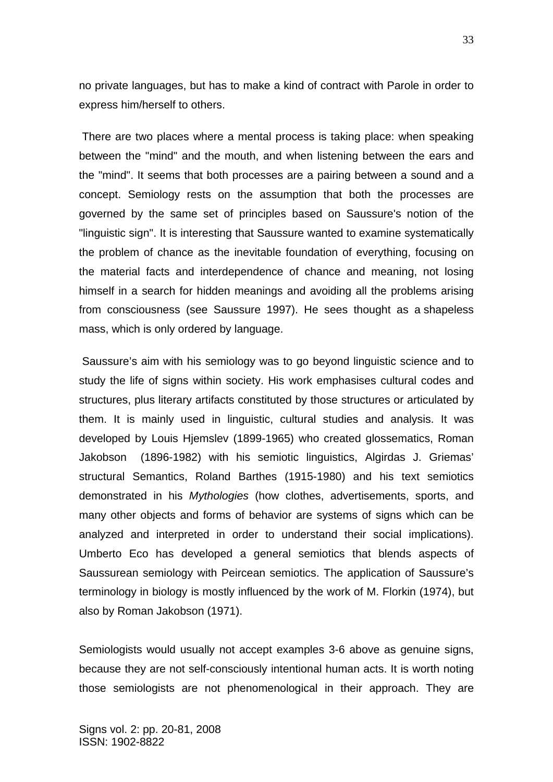no private languages, but has to make a kind of contract with Parole in order to express him/herself to others.

 There are two places where a mental process is taking place: when speaking between the "mind" and the mouth, and when listening between the ears and the "mind". It seems that both processes are a pairing between a sound and a concept. Semiology rests on the assumption that both the processes are governed by the same set of principles based on Saussure's notion of the "linguistic sign". It is interesting that Saussure wanted to examine systematically the problem of chance as the inevitable foundation of everything, focusing on the material facts and interdependence of chance and meaning, not losing himself in a search for hidden meanings and avoiding all the problems arising from consciousness (see Saussure 1997). He sees thought as a shapeless mass, which is only ordered by language.

 Saussure's aim with his semiology was to go beyond linguistic science and to study the life of signs within society. His work emphasises cultural codes and structures, plus literary artifacts constituted by those structures or articulated by them. It is mainly used in linguistic, cultural studies and analysis. It was developed by Louis Hjemslev (1899-1965) who created glossematics, Roman Jakobson (1896-1982) with his semiotic linguistics, Algirdas J. Griemas' structural Semantics, Roland Barthes (1915-1980) and his text semiotics demonstrated in his *Mythologies* (how clothes, advertisements, sports, and many other objects and forms of behavior are systems of signs which can be analyzed and interpreted in order to understand their social implications). Umberto Eco has developed a general semiotics that blends aspects of Saussurean semiology with Peircean semiotics. The application of Saussure's terminology in biology is mostly influenced by the work of M. Florkin (1974), but also by Roman Jakobson (1971).

Semiologists would usually not accept examples 3-6 above as genuine signs, because they are not self-consciously intentional human acts. It is worth noting those semiologists are not phenomenological in their approach. They are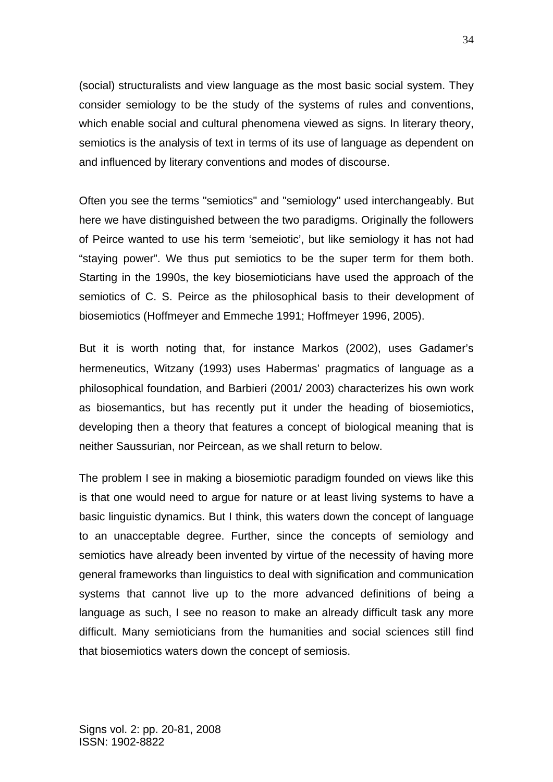(social) structuralists and view language as the most basic social system. They consider semiology to be the study of the systems of rules and conventions, which enable social and cultural phenomena viewed as signs. In literary theory, semiotics is the analysis of text in terms of its use of language as dependent on and influenced by literary conventions and modes of discourse.

Often you see the terms "semiotics" and "semiology" used interchangeably. But here we have distinguished between the two paradigms. Originally the followers of Peirce wanted to use his term 'semeiotic', but like semiology it has not had "staying power". We thus put semiotics to be the super term for them both. Starting in the 1990s, the key biosemioticians have used the approach of the semiotics of C. S. Peirce as the philosophical basis to their development of biosemiotics (Hoffmeyer and Emmeche 1991; Hoffmeyer 1996, 2005).

But it is worth noting that, for instance Markos (2002), uses Gadamer's hermeneutics, Witzany (1993) uses Habermas' pragmatics of language as a philosophical foundation, and Barbieri (2001/ 2003) characterizes his own work as biosemantics, but has recently put it under the heading of biosemiotics, developing then a theory that features a concept of biological meaning that is neither Saussurian, nor Peircean, as we shall return to below.

The problem I see in making a biosemiotic paradigm founded on views like this is that one would need to argue for nature or at least living systems to have a basic linguistic dynamics. But I think, this waters down the concept of language to an unacceptable degree. Further, since the concepts of semiology and semiotics have already been invented by virtue of the necessity of having more general frameworks than linguistics to deal with signification and communication systems that cannot live up to the more advanced definitions of being a language as such, I see no reason to make an already difficult task any more difficult. Many semioticians from the humanities and social sciences still find that biosemiotics waters down the concept of semiosis.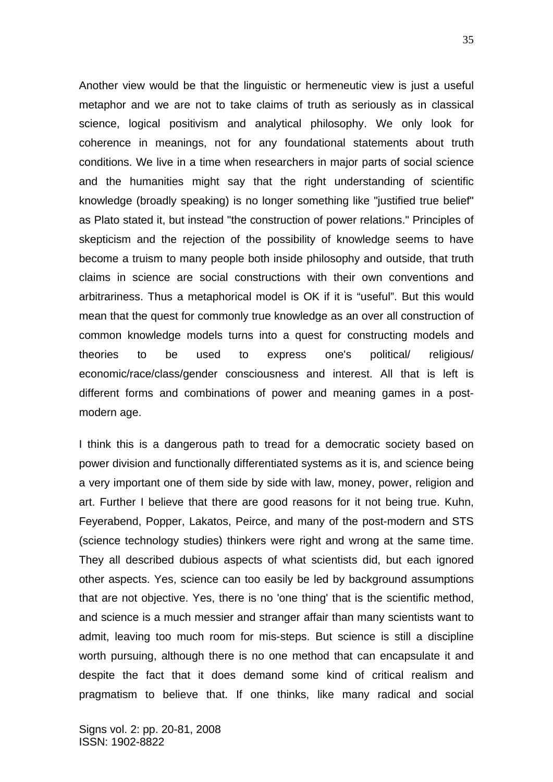Another view would be that the linguistic or hermeneutic view is just a useful metaphor and we are not to take claims of truth as seriously as in classical science, logical positivism and analytical philosophy. We only look for coherence in meanings, not for any foundational statements about truth conditions. We live in a time when researchers in major parts of social science and the humanities might say that the right understanding of scientific knowledge (broadly speaking) is no longer something like "justified true belief" as Plato stated it, but instead "the construction of power relations." Principles of skepticism and the rejection of the possibility of knowledge seems to have become a truism to many people both inside philosophy and outside, that truth claims in science are social constructions with their own conventions and arbitrariness. Thus a metaphorical model is OK if it is "useful". But this would mean that the quest for commonly true knowledge as an over all construction of common knowledge models turns into a quest for constructing models and theories to be used to express one's political/ religious/ economic/race/class/gender consciousness and interest. All that is left is different forms and combinations of power and meaning games in a postmodern age.

I think this is a dangerous path to tread for a democratic society based on power division and functionally differentiated systems as it is, and science being a very important one of them side by side with law, money, power, religion and art. Further I believe that there are good reasons for it not being true. Kuhn, Feyerabend, Popper, Lakatos, Peirce, and many of the post-modern and STS (science technology studies) thinkers were right and wrong at the same time. They all described dubious aspects of what scientists did, but each ignored other aspects. Yes, science can too easily be led by background assumptions that are not objective. Yes, there is no 'one thing' that is the scientific method, and science is a much messier and stranger affair than many scientists want to admit, leaving too much room for mis-steps. But science is still a discipline worth pursuing, although there is no one method that can encapsulate it and despite the fact that it does demand some kind of critical realism and pragmatism to believe that. If one thinks, like many radical and social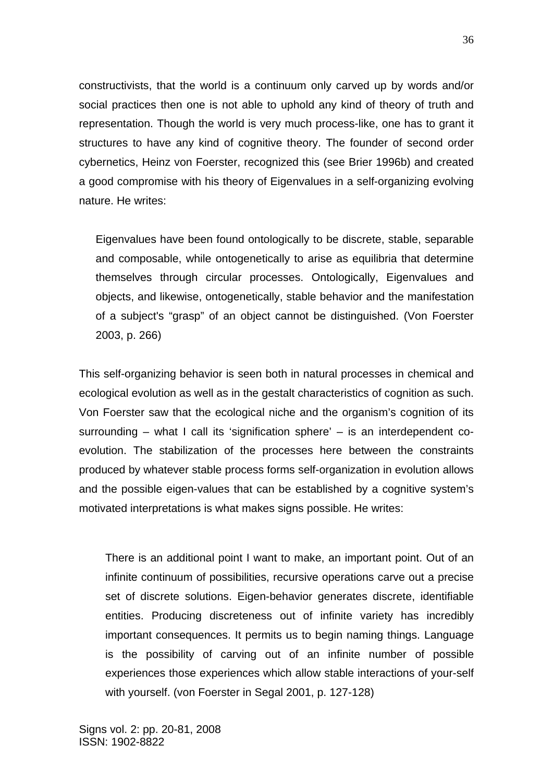constructivists, that the world is a continuum only carved up by words and/or social practices then one is not able to uphold any kind of theory of truth and representation. Though the world is very much process-like, one has to grant it structures to have any kind of cognitive theory. The founder of second order cybernetics, Heinz von Foerster, recognized this (see Brier 1996b) and created a good compromise with his theory of Eigenvalues in a self-organizing evolving nature. He writes:

Eigenvalues have been found ontologically to be discrete, stable, separable and composable, while ontogenetically to arise as equilibria that determine themselves through circular processes. Ontologically, Eigenvalues and objects, and likewise, ontogenetically, stable behavior and the manifestation of a subject's "grasp" of an object cannot be distinguished. (Von Foerster 2003, p. 266)

This self-organizing behavior is seen both in natural processes in chemical and ecological evolution as well as in the gestalt characteristics of cognition as such. Von Foerster saw that the ecological niche and the organism's cognition of its surrounding – what I call its 'signification sphere' – is an interdependent coevolution. The stabilization of the processes here between the constraints produced by whatever stable process forms self-organization in evolution allows and the possible eigen-values that can be established by a cognitive system's motivated interpretations is what makes signs possible. He writes:

There is an additional point I want to make, an important point. Out of an infinite continuum of possibilities, recursive operations carve out a precise set of discrete solutions. Eigen-behavior generates discrete, identifiable entities. Producing discreteness out of infinite variety has incredibly important consequences. It permits us to begin naming things. Language is the possibility of carving out of an infinite number of possible experiences those experiences which allow stable interactions of your-self with yourself. (von Foerster in Segal 2001, p. 127-128)

36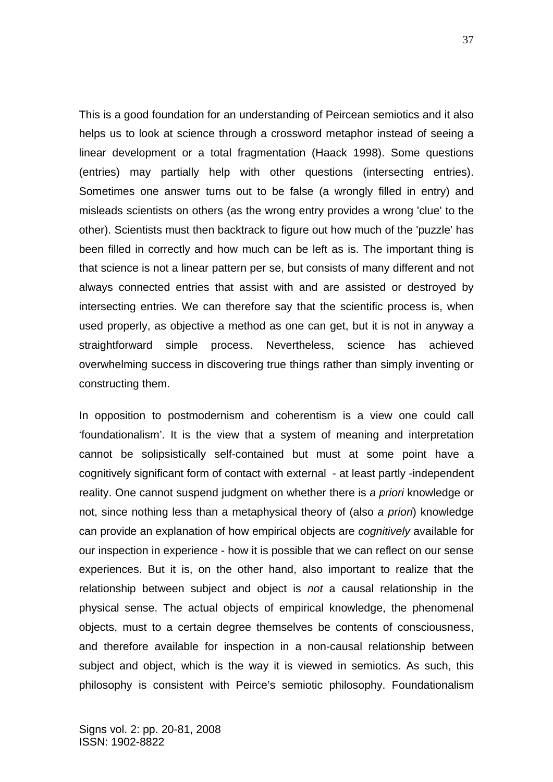This is a good foundation for an understanding of Peircean semiotics and it also helps us to look at science through a crossword metaphor instead of seeing a linear development or a total fragmentation (Haack 1998). Some questions (entries) may partially help with other questions (intersecting entries). Sometimes one answer turns out to be false (a wrongly filled in entry) and misleads scientists on others (as the wrong entry provides a wrong 'clue' to the other). Scientists must then backtrack to figure out how much of the 'puzzle' has been filled in correctly and how much can be left as is. The important thing is that science is not a linear pattern per se, but consists of many different and not always connected entries that assist with and are assisted or destroyed by intersecting entries. We can therefore say that the scientific process is, when used properly, as objective a method as one can get, but it is not in anyway a straightforward simple process. Nevertheless, science has achieved overwhelming success in discovering true things rather than simply inventing or constructing them.

In opposition to postmodernism and coherentism is a view one could call 'foundationalism'. It is the view that a system of meaning and interpretation cannot be solipsistically self-contained but must at some point have a cognitively significant form of contact with external - at least partly -independent reality. One cannot suspend judgment on whether there is *a priori* knowledge or not, since nothing less than a metaphysical theory of (also *a priori*) knowledge can provide an explanation of how empirical objects are *cognitively* available for our inspection in experience - how it is possible that we can reflect on our sense experiences. But it is, on the other hand, also important to realize that the relationship between subject and object is *not* a causal relationship in the physical sense. The actual objects of empirical knowledge, the phenomenal objects, must to a certain degree themselves be contents of consciousness, and therefore available for inspection in a non-causal relationship between subject and object, which is the way it is viewed in semiotics. As such, this philosophy is consistent with Peirce's semiotic philosophy. Foundationalism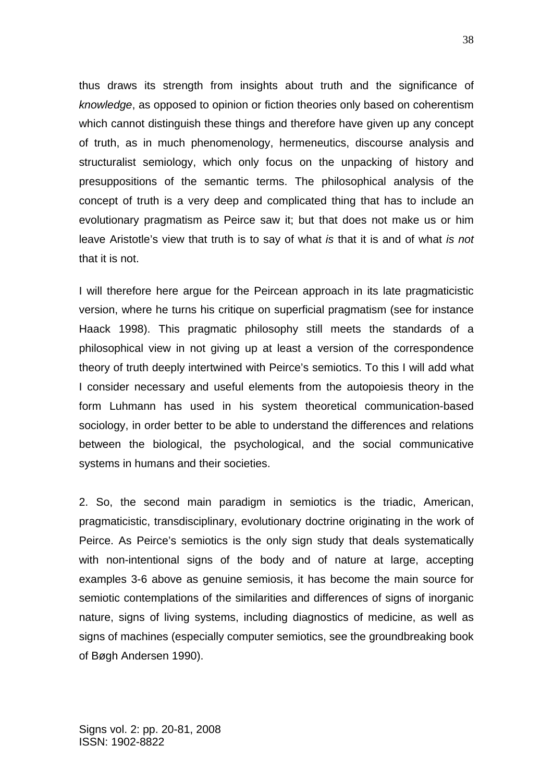thus draws its strength from insights about truth and the significance of *knowledge*, as opposed to opinion or fiction theories only based on coherentism which cannot distinguish these things and therefore have given up any concept of truth, as in much phenomenology, hermeneutics, discourse analysis and structuralist semiology, which only focus on the unpacking of history and presuppositions of the semantic terms. The philosophical analysis of the concept of truth is a very deep and complicated thing that has to include an evolutionary pragmatism as Peirce saw it; but that does not make us or him leave Aristotle's view that truth is to say of what *is* that it is and of what *is not* that it is not.

I will therefore here argue for the Peircean approach in its late pragmaticistic version, where he turns his critique on superficial pragmatism (see for instance Haack 1998). This pragmatic philosophy still meets the standards of a philosophical view in not giving up at least a version of the correspondence theory of truth deeply intertwined with Peirce's semiotics. To this I will add what I consider necessary and useful elements from the autopoiesis theory in the form Luhmann has used in his system theoretical communication-based sociology, in order better to be able to understand the differences and relations between the biological, the psychological, and the social communicative systems in humans and their societies.

2. So, the second main paradigm in semiotics is the triadic, American, pragmaticistic, transdisciplinary, evolutionary doctrine originating in the work of Peirce. As Peirce's semiotics is the only sign study that deals systematically with non-intentional signs of the body and of nature at large, accepting examples 3-6 above as genuine semiosis, it has become the main source for semiotic contemplations of the similarities and differences of signs of inorganic nature, signs of living systems, including diagnostics of medicine, as well as signs of machines (especially computer semiotics, see the groundbreaking book of Bøgh Andersen 1990).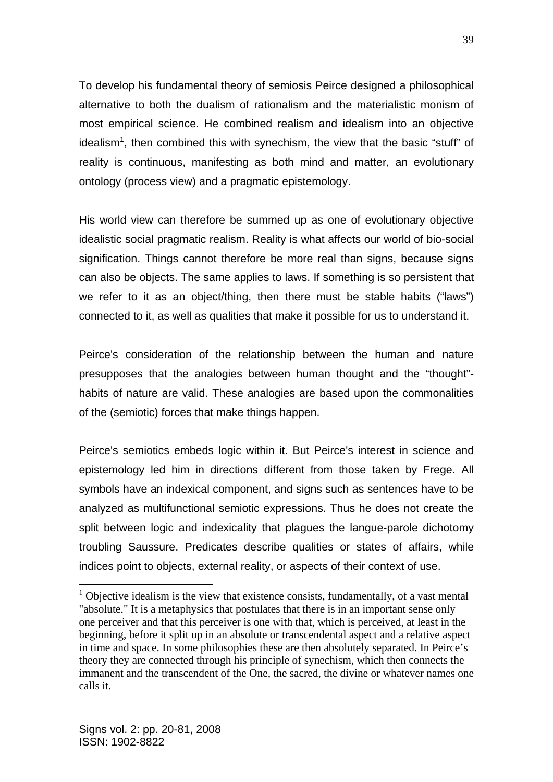To develop his fundamental theory of semiosis Peirce designed a philosophical alternative to both the dualism of rationalism and the materialistic monism of most empirical science. He combined realism and idealism into an objective idealism<sup>1</sup>, then combined this with synechism, the view that the basic "stuff" of reality is continuous, manifesting as both mind and matter, an evolutionary ontology (process view) and a pragmatic epistemology.

His world view can therefore be summed up as one of evolutionary objective idealistic social pragmatic realism. Reality is what affects our world of bio-social signification. Things cannot therefore be more real than signs, because signs can also be objects. The same applies to laws. If something is so persistent that we refer to it as an object/thing, then there must be stable habits ("laws") connected to it, as well as qualities that make it possible for us to understand it.

Peirce's consideration of the relationship between the human and nature presupposes that the analogies between human thought and the "thought"habits of nature are valid. These analogies are based upon the commonalities of the (semiotic) forces that make things happen.

Peirce's semiotics embeds logic within it. But Peirce's interest in science and epistemology led him in directions different from those taken by Frege. All symbols have an indexical component, and signs such as sentences have to be analyzed as multifunctional semiotic expressions. Thus he does not create the split between logic and indexicality that plagues the langue-parole dichotomy troubling Saussure. Predicates describe qualities or states of affairs, while indices point to objects, external reality, or aspects of their context of use.

1

 $1$  Objective idealism is the view that existence consists, fundamentally, of a vast mental "absolute." It is a metaphysics that postulates that there is in an important sense only one perceiver and that this perceiver is one with that, which is perceived, at least in the beginning, before it split up in an absolute or transcendental aspect and a relative aspect in time and space. In some philosophies these are then absolutely separated. In Peirce's theory they are connected through his principle of synechism, which then connects the immanent and the transcendent of the One, the sacred, the divine or whatever names one calls it.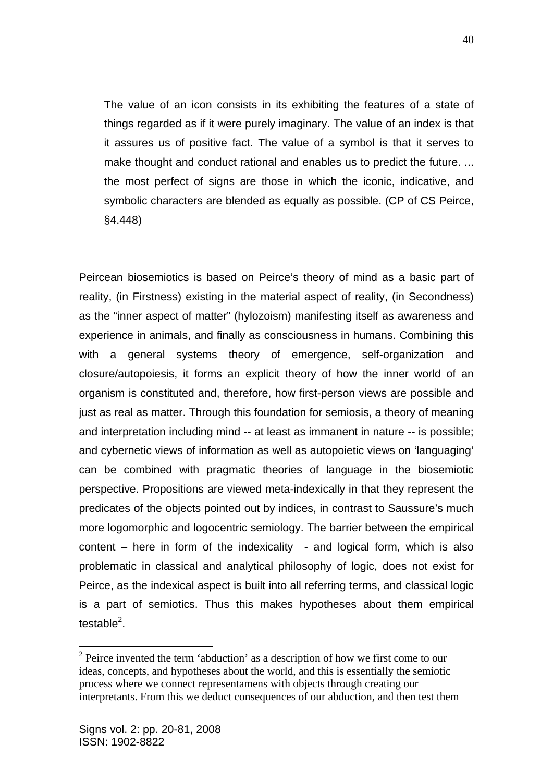The value of an icon consists in its exhibiting the features of a state of things regarded as if it were purely imaginary. The value of an index is that it assures us of positive fact. The value of a symbol is that it serves to make thought and conduct rational and enables us to predict the future. ... the most perfect of signs are those in which the iconic, indicative, and symbolic characters are blended as equally as possible. (CP of CS Peirce, §4.448)

Peircean biosemiotics is based on Peirce's theory of mind as a basic part of reality, (in Firstness) existing in the material aspect of reality, (in Secondness) as the "inner aspect of matter" (hylozoism) manifesting itself as awareness and experience in animals, and finally as consciousness in humans. Combining this with a general systems theory of emergence, self-organization and closure/autopoiesis, it forms an explicit theory of how the inner world of an organism is constituted and, therefore, how first-person views are possible and just as real as matter. Through this foundation for semiosis, a theory of meaning and interpretation including mind -- at least as immanent in nature -- is possible; and cybernetic views of information as well as autopoietic views on 'languaging' can be combined with pragmatic theories of language in the biosemiotic perspective. Propositions are viewed meta-indexically in that they represent the predicates of the objects pointed out by indices, in contrast to Saussure's much more logomorphic and logocentric semiology. The barrier between the empirical content  $-$  here in form of the indexicality  $-$  and logical form, which is also problematic in classical and analytical philosophy of logic, does not exist for Peirce, as the indexical aspect is built into all referring terms, and classical logic is a part of semiotics. Thus this makes hypotheses about them empirical testable<sup>2</sup>.

1

 $2^2$  Peirce invented the term 'abduction' as a description of how we first come to our ideas, concepts, and hypotheses about the world, and this is essentially the semiotic process where we connect representamens with objects through creating our interpretants. From this we deduct consequences of our abduction, and then test them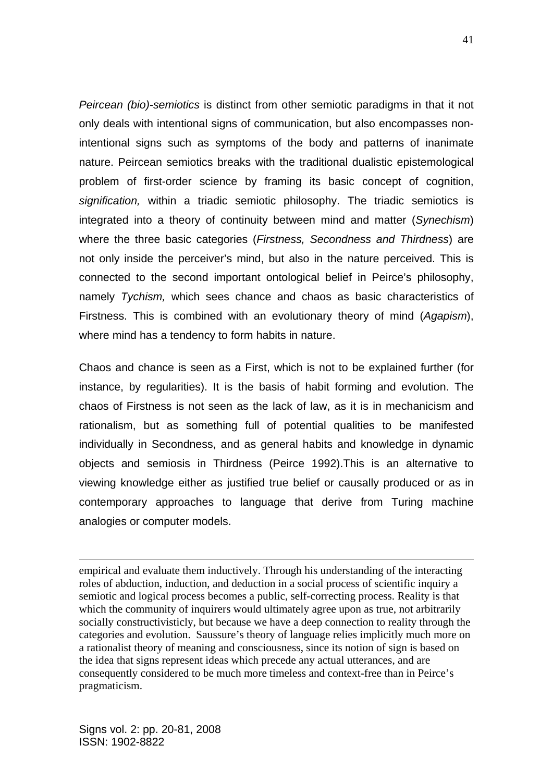*Peircean (bio)-semiotics* is distinct from other semiotic paradigms in that it not only deals with intentional signs of communication, but also encompasses nonintentional signs such as symptoms of the body and patterns of inanimate nature. Peircean semiotics breaks with the traditional dualistic epistemological problem of first-order science by framing its basic concept of cognition, *signification,* within a triadic semiotic philosophy. The triadic semiotics is integrated into a theory of continuity between mind and matter (*Synechism*) where the three basic categories (*Firstness, Secondness and Thirdness*) are not only inside the perceiver's mind, but also in the nature perceived. This is connected to the second important ontological belief in Peirce's philosophy, namely *Tychism,* which sees chance and chaos as basic characteristics of Firstness. This is combined with an evolutionary theory of mind (*Agapism*), where mind has a tendency to form habits in nature.

Chaos and chance is seen as a First, which is not to be explained further (for instance, by regularities). It is the basis of habit forming and evolution. The chaos of Firstness is not seen as the lack of law, as it is in mechanicism and rationalism, but as something full of potential qualities to be manifested individually in Secondness, and as general habits and knowledge in dynamic objects and semiosis in Thirdness (Peirce 1992).This is an alternative to viewing knowledge either as justified true belief or causally produced or as in contemporary approaches to language that derive from Turing machine analogies or computer models.

empirical and evaluate them inductively. Through his understanding of the interacting roles of abduction, induction, and deduction in a social process of scientific inquiry a semiotic and logical process becomes a public, self-correcting process. Reality is that which the community of inquirers would ultimately agree upon as true, not arbitrarily socially constructivisticly, but because we have a deep connection to reality through the categories and evolution. Saussure's theory of language relies implicitly much more on a rationalist theory of meaning and consciousness, since its notion of sign is based on the idea that signs represent ideas which precede any actual utterances, and are consequently considered to be much more timeless and context-free than in Peirce's pragmaticism.

<u>.</u>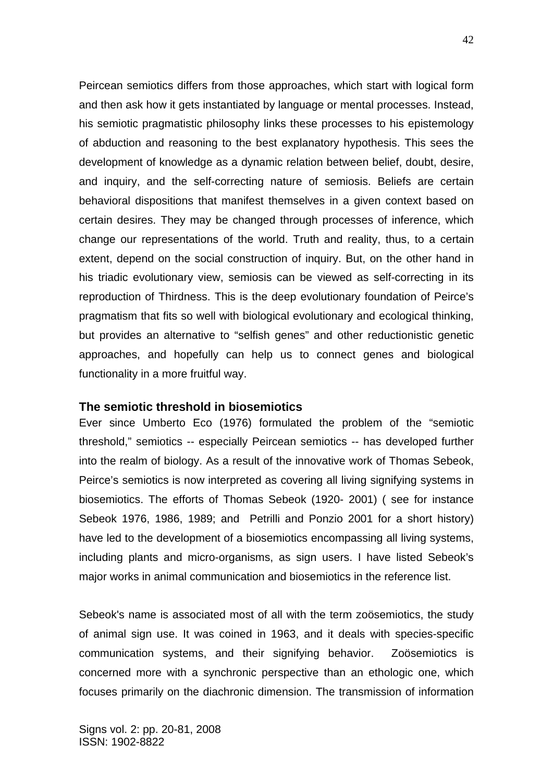Peircean semiotics differs from those approaches, which start with logical form and then ask how it gets instantiated by language or mental processes. Instead, his semiotic pragmatistic philosophy links these processes to his epistemology of abduction and reasoning to the best explanatory hypothesis. This sees the development of knowledge as a dynamic relation between belief, doubt, desire, and inquiry, and the self-correcting nature of semiosis. Beliefs are certain behavioral dispositions that manifest themselves in a given context based on certain desires. They may be changed through processes of inference, which change our representations of the world. Truth and reality, thus, to a certain extent, depend on the social construction of inquiry. But, on the other hand in his triadic evolutionary view, semiosis can be viewed as self-correcting in its reproduction of Thirdness. This is the deep evolutionary foundation of Peirce's pragmatism that fits so well with biological evolutionary and ecological thinking, but provides an alternative to "selfish genes" and other reductionistic genetic approaches, and hopefully can help us to connect genes and biological functionality in a more fruitful way.

#### **The semiotic threshold in biosemiotics**

Ever since Umberto Eco (1976) formulated the problem of the "semiotic threshold," semiotics -- especially Peircean semiotics -- has developed further into the realm of biology. As a result of the innovative work of Thomas Sebeok, Peirce's semiotics is now interpreted as covering all living signifying systems in biosemiotics. The efforts of Thomas Sebeok (1920- 2001) ( see for instance Sebeok 1976, 1986, 1989; and Petrilli and Ponzio 2001 for a short history) have led to the development of a biosemiotics encompassing all living systems, including plants and micro-organisms, as sign users. I have listed Sebeok's major works in animal communication and biosemiotics in the reference list.

Sebeok's name is associated most of all with the term zoösemiotics, the study of animal sign use. It was coined in 1963, and it deals with species-specific communication systems, and their signifying behavior. Zoösemiotics is concerned more with a synchronic perspective than an ethologic one, which focuses primarily on the diachronic dimension. The transmission of information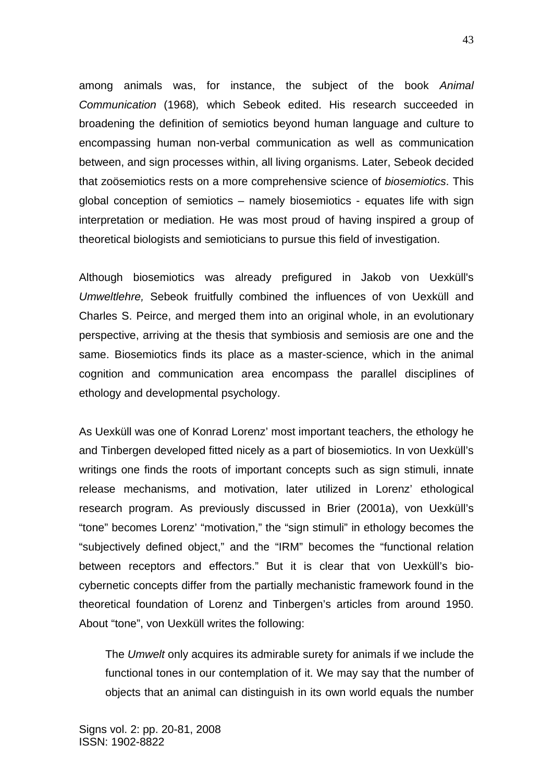among animals was, for instance, the subject of the book *Animal Communication* (1968)*,* which Sebeok edited. His research succeeded in broadening the definition of semiotics beyond human language and culture to encompassing human non-verbal communication as well as communication between, and sign processes within, all living organisms. Later, Sebeok decided that zoösemiotics rests on a more comprehensive science of *biosemiotics*. This global conception of semiotics – namely biosemiotics - equates life with sign interpretation or mediation. He was most proud of having inspired a group of theoretical biologists and semioticians to pursue this field of investigation.

Although biosemiotics was already prefigured in Jakob von Uexküll's *Umweltlehre,* Sebeok fruitfully combined the influences of von Uexküll and Charles S. Peirce, and merged them into an original whole, in an evolutionary perspective, arriving at the thesis that symbiosis and semiosis are one and the same. Biosemiotics finds its place as a master-science, which in the animal cognition and communication area encompass the parallel disciplines of ethology and developmental psychology.

As Uexküll was one of Konrad Lorenz' most important teachers, the ethology he and Tinbergen developed fitted nicely as a part of biosemiotics. In von Uexküll's writings one finds the roots of important concepts such as sign stimuli, innate release mechanisms, and motivation, later utilized in Lorenz' ethological research program. As previously discussed in Brier (2001a), von Uexküll's "tone" becomes Lorenz' "motivation," the "sign stimuli" in ethology becomes the "subjectively defined object," and the "IRM" becomes the "functional relation between receptors and effectors." But it is clear that von Uexküll's biocybernetic concepts differ from the partially mechanistic framework found in the theoretical foundation of Lorenz and Tinbergen's articles from around 1950. About "tone", von Uexküll writes the following:

The *Umwelt* only acquires its admirable surety for animals if we include the functional tones in our contemplation of it. We may say that the number of objects that an animal can distinguish in its own world equals the number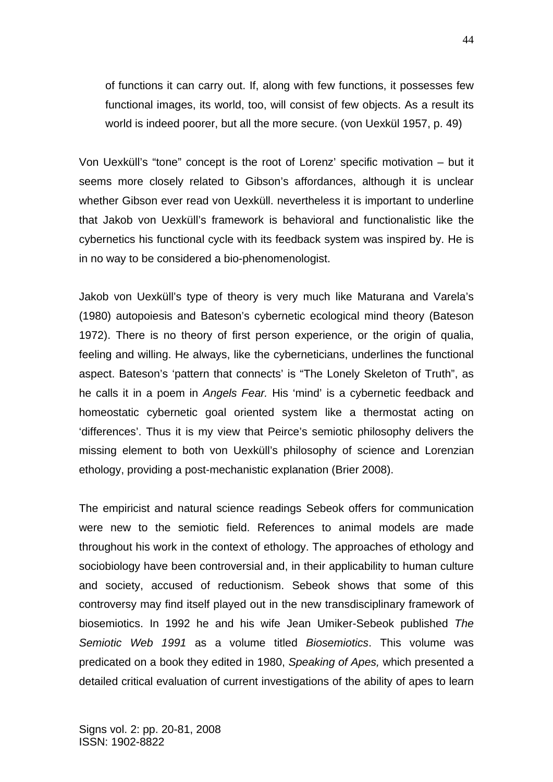of functions it can carry out. If, along with few functions, it possesses few functional images, its world, too, will consist of few objects. As a result its world is indeed poorer, but all the more secure. (von Uexkül 1957, p. 49)

Von Uexküll's "tone" concept is the root of Lorenz' specific motivation – but it seems more closely related to Gibson's affordances, although it is unclear whether Gibson ever read von Uexküll. nevertheless it is important to underline that Jakob von Uexküll's framework is behavioral and functionalistic like the cybernetics his functional cycle with its feedback system was inspired by. He is in no way to be considered a bio-phenomenologist.

Jakob von Uexküll's type of theory is very much like Maturana and Varela's (1980) autopoiesis and Bateson's cybernetic ecological mind theory (Bateson 1972). There is no theory of first person experience, or the origin of qualia, feeling and willing. He always, like the cyberneticians, underlines the functional aspect. Bateson's 'pattern that connects' is "The Lonely Skeleton of Truth", as he calls it in a poem in *Angels Fear.* His 'mind' is a cybernetic feedback and homeostatic cybernetic goal oriented system like a thermostat acting on 'differences'. Thus it is my view that Peirce's semiotic philosophy delivers the missing element to both von Uexküll's philosophy of science and Lorenzian ethology, providing a post-mechanistic explanation (Brier 2008).

The empiricist and natural science readings Sebeok offers for communication were new to the semiotic field. References to animal models are made throughout his work in the context of ethology. The approaches of ethology and sociobiology have been controversial and, in their applicability to human culture and society, accused of reductionism. Sebeok shows that some of this controversy may find itself played out in the new transdisciplinary framework of biosemiotics. In 1992 he and his wife Jean Umiker-Sebeok published *The Semiotic Web 1991* as a volume titled *Biosemiotics*. This volume was predicated on a book they edited in 1980, *Speaking of Apes,* which presented a detailed critical evaluation of current investigations of the ability of apes to learn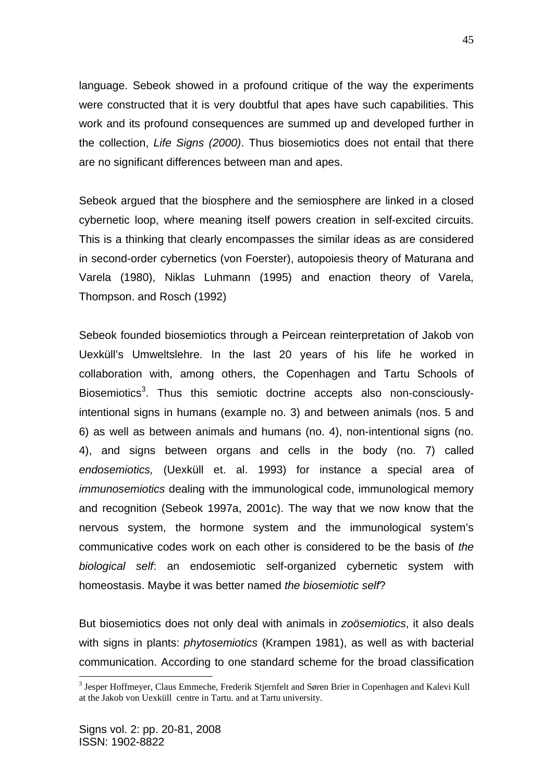language. Sebeok showed in a profound critique of the way the experiments were constructed that it is very doubtful that apes have such capabilities. This work and its profound consequences are summed up and developed further in the collection, *Life Signs (2000)*. Thus biosemiotics does not entail that there are no significant differences between man and apes.

Sebeok argued that the biosphere and the semiosphere are linked in a closed cybernetic loop, where meaning itself powers creation in self-excited circuits. This is a thinking that clearly encompasses the similar ideas as are considered in second-order cybernetics (von Foerster), autopoiesis theory of Maturana and Varela (1980), Niklas Luhmann (1995) and enaction theory of Varela, Thompson. and Rosch (1992)

Sebeok founded biosemiotics through a Peircean reinterpretation of Jakob von Uexküll's Umweltslehre. In the last 20 years of his life he worked in collaboration with, among others, the Copenhagen and Tartu Schools of Biosemiotics<sup>3</sup>. Thus this semiotic doctrine accepts also non-consciouslyintentional signs in humans (example no. 3) and between animals (nos. 5 and 6) as well as between animals and humans (no. 4), non-intentional signs (no. 4), and signs between organs and cells in the body (no. 7) called *endosemiotics,* (Uexküll et. al. 1993) for instance a special area of *immunosemiotics* dealing with the immunological code, immunological memory and recognition (Sebeok 1997a, 2001c). The way that we now know that the nervous system, the hormone system and the immunological system's communicative codes work on each other is considered to be the basis of *the biological self*: an endosemiotic self-organized cybernetic system with homeostasis. Maybe it was better named *the biosemiotic self*?

But biosemiotics does not only deal with animals in *zoösemiotics*, it also deals with signs in plants: *phytosemiotics* (Krampen 1981), as well as with bacterial communication. According to one standard scheme for the broad classification

1

<sup>&</sup>lt;sup>3</sup> Jesper Hoffmeyer, Claus Emmeche, Frederik Stjernfelt and Søren Brier in Copenhagen and Kalevi Kull at the Jakob von Uexküll centre in Tartu. and at Tartu university.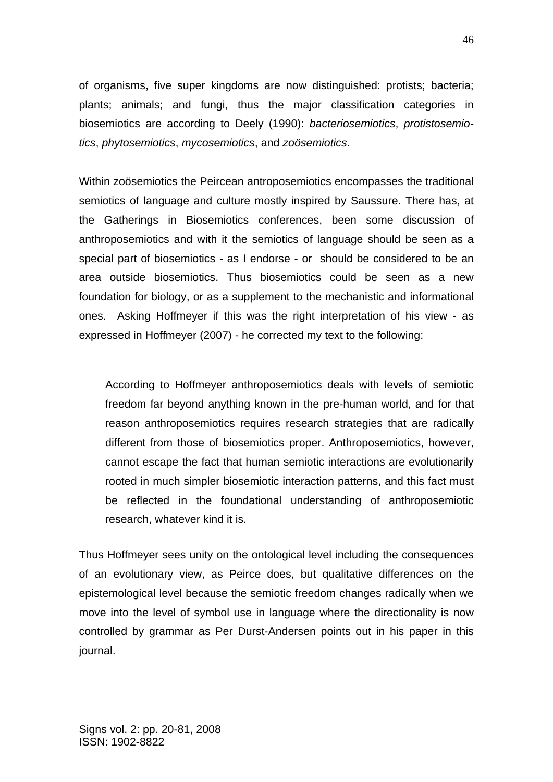of organisms, five super kingdoms are now distinguished: protists; bacteria; plants; animals; and fungi, thus the major classification categories in biosemiotics are according to Deely (1990): *bacteriosemiotics*, *protistosemiotics*, *phytosemiotics*, *mycosemiotics*, and *zoösemiotics*.

Within zoösemiotics the Peircean antroposemiotics encompasses the traditional semiotics of language and culture mostly inspired by Saussure. There has, at the Gatherings in Biosemiotics conferences, been some discussion of anthroposemiotics and with it the semiotics of language should be seen as a special part of biosemiotics - as I endorse - or should be considered to be an area outside biosemiotics. Thus biosemiotics could be seen as a new foundation for biology, or as a supplement to the mechanistic and informational ones. Asking Hoffmeyer if this was the right interpretation of his view - as expressed in Hoffmeyer (2007) - he corrected my text to the following:

According to Hoffmeyer anthroposemiotics deals with levels of semiotic freedom far beyond anything known in the pre-human world, and for that reason anthroposemiotics requires research strategies that are radically different from those of biosemiotics proper. Anthroposemiotics, however, cannot escape the fact that human semiotic interactions are evolutionarily rooted in much simpler biosemiotic interaction patterns, and this fact must be reflected in the foundational understanding of anthroposemiotic research, whatever kind it is.

Thus Hoffmeyer sees unity on the ontological level including the consequences of an evolutionary view, as Peirce does, but qualitative differences on the epistemological level because the semiotic freedom changes radically when we move into the level of symbol use in language where the directionality is now controlled by grammar as Per Durst-Andersen points out in his paper in this journal.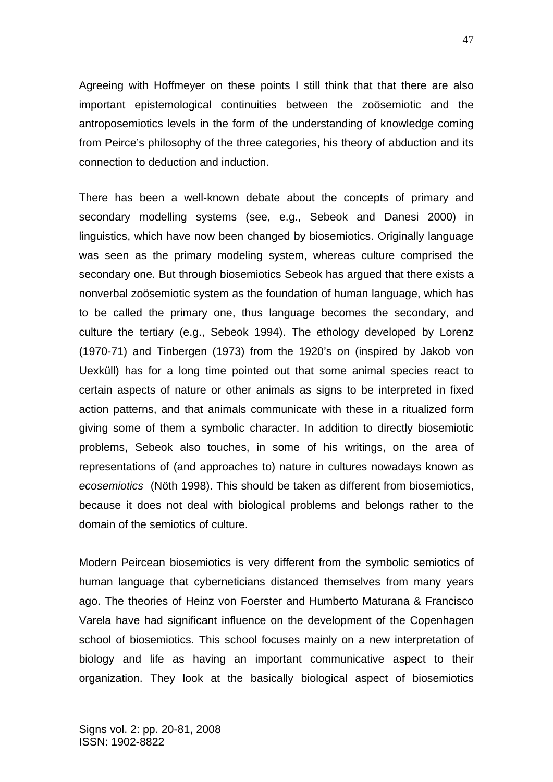Agreeing with Hoffmeyer on these points I still think that that there are also important epistemological continuities between the zoösemiotic and the antroposemiotics levels in the form of the understanding of knowledge coming from Peirce's philosophy of the three categories, his theory of abduction and its connection to deduction and induction.

There has been a well-known debate about the concepts of primary and secondary modelling systems (see, e.g., Sebeok and Danesi 2000) in linguistics, which have now been changed by biosemiotics. Originally language was seen as the primary modeling system, whereas culture comprised the secondary one. But through biosemiotics Sebeok has argued that there exists a nonverbal zoösemiotic system as the foundation of human language, which has to be called the primary one, thus language becomes the secondary, and culture the tertiary (e.g., Sebeok 1994). The ethology developed by Lorenz (1970-71) and Tinbergen (1973) from the 1920's on (inspired by Jakob von Uexküll) has for a long time pointed out that some animal species react to certain aspects of nature or other animals as signs to be interpreted in fixed action patterns, and that animals communicate with these in a ritualized form giving some of them a symbolic character. In addition to directly biosemiotic problems, Sebeok also touches, in some of his writings, on the area of representations of (and approaches to) nature in cultures nowadays known as *ecosemiotics* (Nöth 1998). This should be taken as different from biosemiotics, because it does not deal with biological problems and belongs rather to the domain of the semiotics of culture.

Modern Peircean biosemiotics is very different from the symbolic semiotics of human language that cyberneticians distanced themselves from many years ago. The theories of Heinz von Foerster and Humberto Maturana & Francisco Varela have had significant influence on the development of the Copenhagen school of biosemiotics. This school focuses mainly on a new interpretation of biology and life as having an important communicative aspect to their organization. They look at the basically biological aspect of biosemiotics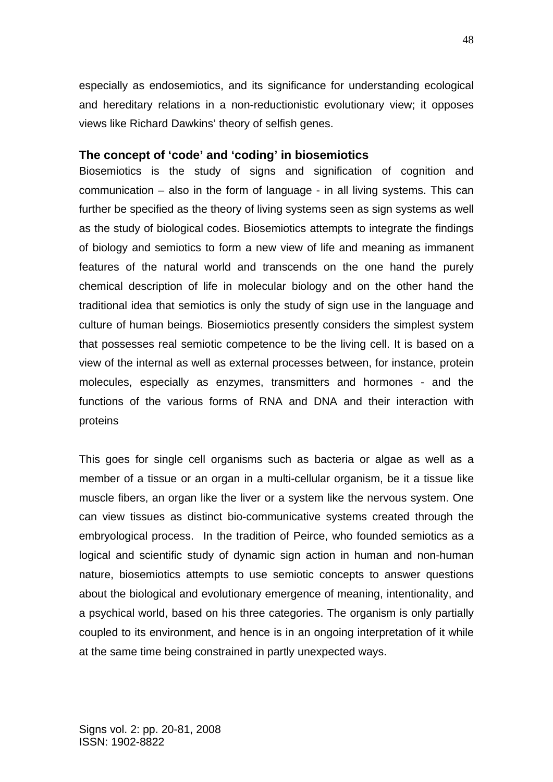especially as endosemiotics, and its significance for understanding ecological and hereditary relations in a non-reductionistic evolutionary view; it opposes views like Richard Dawkins' theory of selfish genes.

### **The concept of 'code' and 'coding' in biosemiotics**

Biosemiotics is the study of signs and signification of cognition and communication – also in the form of language - in all living systems. This can further be specified as the theory of living systems seen as sign systems as well as the study of biological codes. Biosemiotics attempts to integrate the findings of biology and semiotics to form a new view of life and meaning as immanent features of the natural world and transcends on the one hand the purely chemical description of life in molecular biology and on the other hand the traditional idea that semiotics is only the study of sign use in the language and culture of human beings. Biosemiotics presently considers the simplest system that possesses real semiotic competence to be the living cell. It is based on a view of the internal as well as external processes between, for instance, protein molecules, especially as enzymes, transmitters and hormones - and the functions of the various forms of RNA and DNA and their interaction with proteins

This goes for single cell organisms such as bacteria or algae as well as a member of a tissue or an organ in a multi-cellular organism, be it a tissue like muscle fibers, an organ like the liver or a system like the nervous system. One can view tissues as distinct bio-communicative systems created through the embryological process. In the tradition of Peirce, who founded semiotics as a logical and scientific study of dynamic sign action in human and non-human nature, biosemiotics attempts to use semiotic concepts to answer questions about the biological and evolutionary emergence of meaning, intentionality, and a psychical world, based on his three categories. The organism is only partially coupled to its environment, and hence is in an ongoing interpretation of it while at the same time being constrained in partly unexpected ways.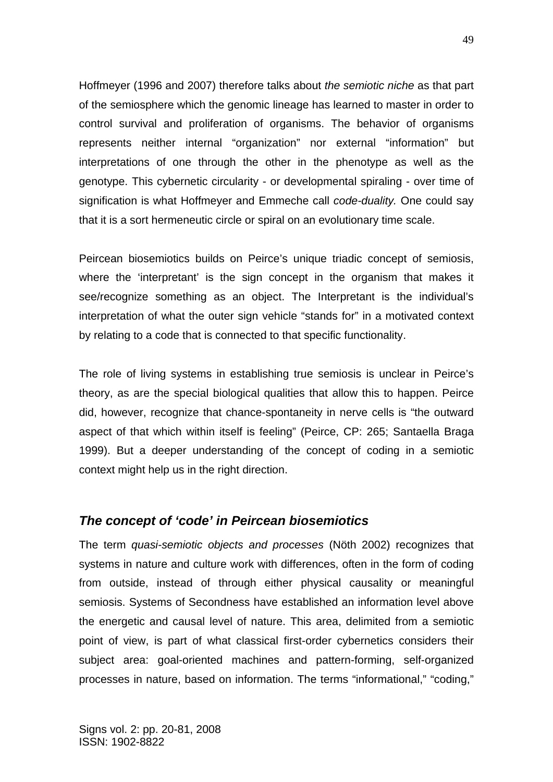Hoffmeyer (1996 and 2007) therefore talks about *the semiotic niche* as that part of the semiosphere which the genomic lineage has learned to master in order to control survival and proliferation of organisms. The behavior of organisms represents neither internal "organization" nor external "information" but interpretations of one through the other in the phenotype as well as the genotype. This cybernetic circularity - or developmental spiraling - over time of signification is what Hoffmeyer and Emmeche call *code-duality.* One could say that it is a sort hermeneutic circle or spiral on an evolutionary time scale.

Peircean biosemiotics builds on Peirce's unique triadic concept of semiosis, where the 'interpretant' is the sign concept in the organism that makes it see/recognize something as an object. The Interpretant is the individual's interpretation of what the outer sign vehicle "stands for" in a motivated context by relating to a code that is connected to that specific functionality.

The role of living systems in establishing true semiosis is unclear in Peirce's theory, as are the special biological qualities that allow this to happen. Peirce did, however, recognize that chance-spontaneity in nerve cells is "the outward aspect of that which within itself is feeling" (Peirce, CP: 265; Santaella Braga 1999). But a deeper understanding of the concept of coding in a semiotic context might help us in the right direction.

## *The concept of 'code' in Peircean biosemiotics*

The term *quasi-semiotic objects and processes* (Nöth 2002) recognizes that systems in nature and culture work with differences, often in the form of coding from outside, instead of through either physical causality or meaningful semiosis. Systems of Secondness have established an information level above the energetic and causal level of nature. This area, delimited from a semiotic point of view, is part of what classical first-order cybernetics considers their subject area: goal-oriented machines and pattern-forming, self-organized processes in nature, based on information. The terms "informational," "coding,"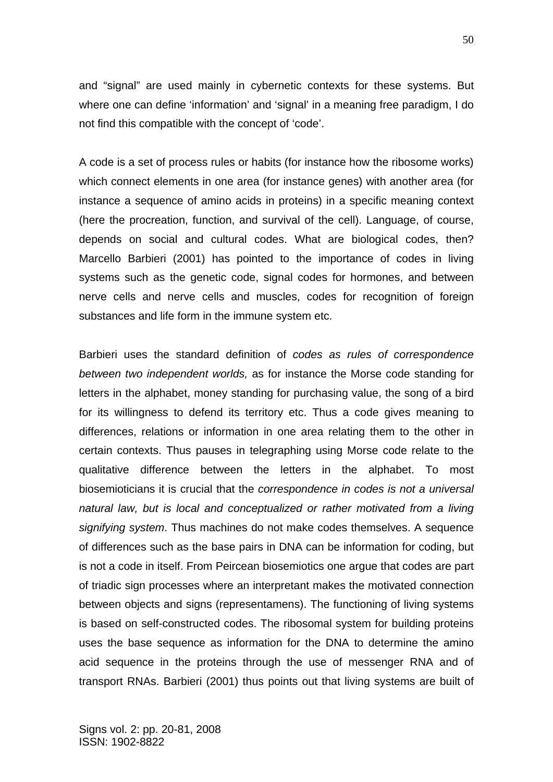and "signal" are used mainly in cybernetic contexts for these systems. But where one can define 'information' and 'signal' in a meaning free paradigm, I do not find this compatible with the concept of 'code'.

A code is a set of process rules or habits (for instance how the ribosome works) which connect elements in one area (for instance genes) with another area (for instance a sequence of amino acids in proteins) in a specific meaning context (here the procreation, function, and survival of the cell). Language, of course, depends on social and cultural codes. What are biological codes, then? Marcello Barbieri (2001) has pointed to the importance of codes in living systems such as the genetic code, signal codes for hormones, and between nerve cells and nerve cells and muscles, codes for recognition of foreign substances and life form in the immune system etc.

Barbieri uses the standard definition of *codes as rules of correspondence between two independent worlds,* as for instance the Morse code standing for letters in the alphabet, money standing for purchasing value, the song of a bird for its willingness to defend its territory etc. Thus a code gives meaning to differences, relations or information in one area relating them to the other in certain contexts. Thus pauses in telegraphing using Morse code relate to the qualitative difference between the letters in the alphabet. To most biosemioticians it is crucial that the *correspondence in codes is not a universal natural law, but is local and conceptualized or rather motivated from a living signifying system*. Thus machines do not make codes themselves. A sequence of differences such as the base pairs in DNA can be information for coding, but is not a code in itself. From Peircean biosemiotics one argue that codes are part of triadic sign processes where an interpretant makes the motivated connection between objects and signs (representamens). The functioning of living systems is based on self-constructed codes. The ribosomal system for building proteins uses the base sequence as information for the DNA to determine the amino acid sequence in the proteins through the use of messenger RNA and of transport RNAs. Barbieri (2001) thus points out that living systems are built of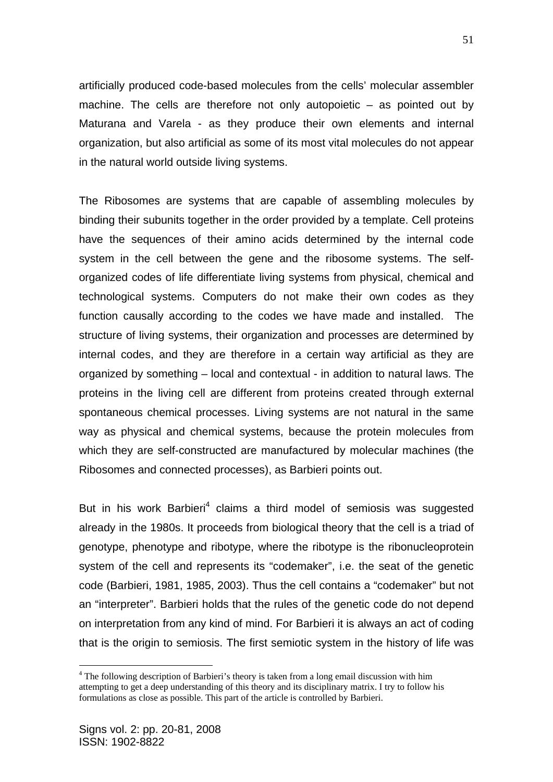artificially produced code-based molecules from the cells' molecular assembler machine. The cells are therefore not only autopoietic – as pointed out by Maturana and Varela - as they produce their own elements and internal organization, but also artificial as some of its most vital molecules do not appear in the natural world outside living systems.

The Ribosomes are systems that are capable of assembling molecules by binding their subunits together in the order provided by a template. Cell proteins have the sequences of their amino acids determined by the internal code system in the cell between the gene and the ribosome systems. The selforganized codes of life differentiate living systems from physical, chemical and technological systems. Computers do not make their own codes as they function causally according to the codes we have made and installed. The structure of living systems, their organization and processes are determined by internal codes, and they are therefore in a certain way artificial as they are organized by something – local and contextual - in addition to natural laws. The proteins in the living cell are different from proteins created through external spontaneous chemical processes. Living systems are not natural in the same way as physical and chemical systems, because the protein molecules from which they are self-constructed are manufactured by molecular machines (the Ribosomes and connected processes), as Barbieri points out.

But in his work Barbieri<sup>4</sup> claims a third model of semiosis was suggested already in the 1980s. It proceeds from biological theory that the cell is a triad of genotype, phenotype and ribotype, where the ribotype is the ribonucleoprotein system of the cell and represents its "codemaker", i.e. the seat of the genetic code (Barbieri, 1981, 1985, 2003). Thus the cell contains a "codemaker" but not an "interpreter". Barbieri holds that the rules of the genetic code do not depend on interpretation from any kind of mind. For Barbieri it is always an act of coding that is the origin to semiosis. The first semiotic system in the history of life was

51

1

<sup>&</sup>lt;sup>4</sup> The following description of Barbieri's theory is taken from a long email discussion with him attempting to get a deep understanding of this theory and its disciplinary matrix. I try to follow his formulations as close as possible. This part of the article is controlled by Barbieri.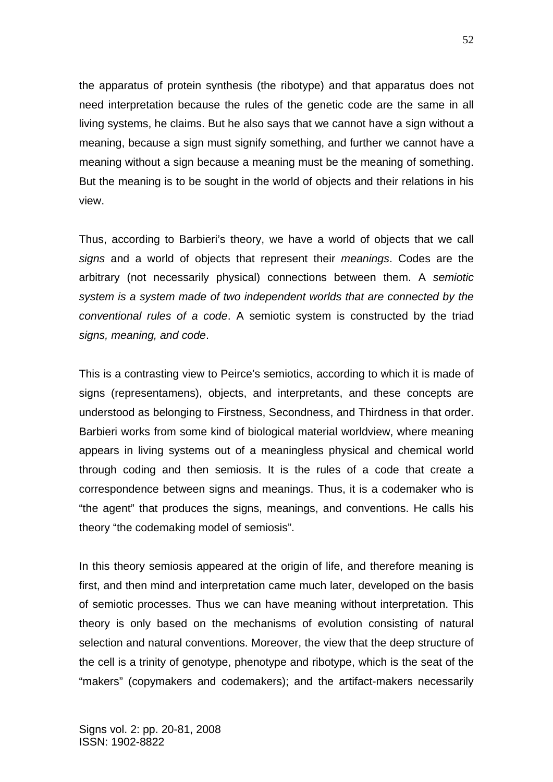the apparatus of protein synthesis (the ribotype) and that apparatus does not need interpretation because the rules of the genetic code are the same in all living systems, he claims. But he also says that we cannot have a sign without a meaning, because a sign must signify something, and further we cannot have a meaning without a sign because a meaning must be the meaning of something. But the meaning is to be sought in the world of objects and their relations in his view.

Thus, according to Barbieri's theory, we have a world of objects that we call *signs* and a world of objects that represent their *meanings*. Codes are the arbitrary (not necessarily physical) connections between them. A *semiotic system is a system made of two independent worlds that are connected by the conventional rules of a code*. A semiotic system is constructed by the triad *signs, meaning, and code*.

This is a contrasting view to Peirce's semiotics, according to which it is made of signs (representamens), objects, and interpretants, and these concepts are understood as belonging to Firstness, Secondness, and Thirdness in that order. Barbieri works from some kind of biological material worldview, where meaning appears in living systems out of a meaningless physical and chemical world through coding and then semiosis. It is the rules of a code that create a correspondence between signs and meanings. Thus, it is a codemaker who is "the agent" that produces the signs, meanings, and conventions. He calls his theory "the codemaking model of semiosis".

In this theory semiosis appeared at the origin of life, and therefore meaning is first, and then mind and interpretation came much later, developed on the basis of semiotic processes. Thus we can have meaning without interpretation. This theory is only based on the mechanisms of evolution consisting of natural selection and natural conventions. Moreover, the view that the deep structure of the cell is a trinity of genotype, phenotype and ribotype, which is the seat of the "makers" (copymakers and codemakers); and the artifact-makers necessarily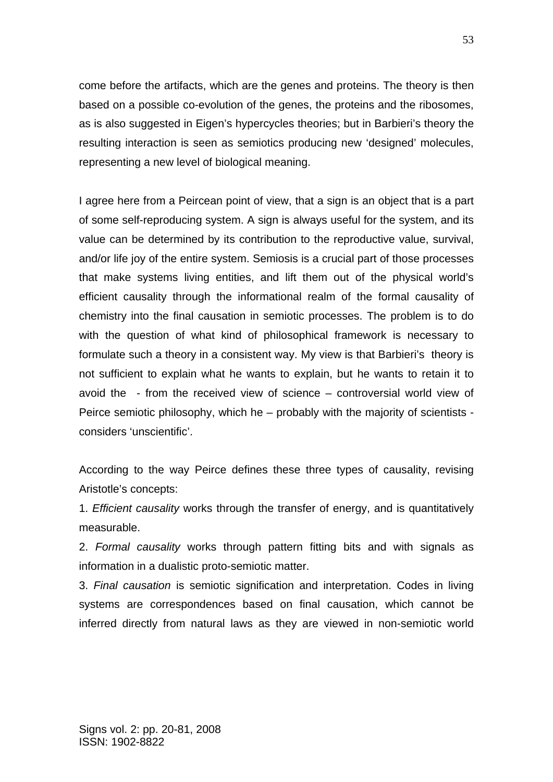come before the artifacts, which are the genes and proteins. The theory is then based on a possible co-evolution of the genes, the proteins and the ribosomes, as is also suggested in Eigen's hypercycles theories; but in Barbieri's theory the resulting interaction is seen as semiotics producing new 'designed' molecules, representing a new level of biological meaning.

I agree here from a Peircean point of view, that a sign is an object that is a part of some self-reproducing system. A sign is always useful for the system, and its value can be determined by its contribution to the reproductive value, survival, and/or life joy of the entire system. Semiosis is a crucial part of those processes that make systems living entities, and lift them out of the physical world's efficient causality through the informational realm of the formal causality of chemistry into the final causation in semiotic processes. The problem is to do with the question of what kind of philosophical framework is necessary to formulate such a theory in a consistent way. My view is that Barbieri's theory is not sufficient to explain what he wants to explain, but he wants to retain it to avoid the - from the received view of science – controversial world view of Peirce semiotic philosophy, which he – probably with the majority of scientists considers 'unscientific'.

According to the way Peirce defines these three types of causality, revising Aristotle's concepts:

1. *Efficient causality* works through the transfer of energy, and is quantitatively measurable.

2. *Formal causality* works through pattern fitting bits and with signals as information in a dualistic proto-semiotic matter.

3. *Final causation* is semiotic signification and interpretation. Codes in living systems are correspondences based on final causation, which cannot be inferred directly from natural laws as they are viewed in non-semiotic world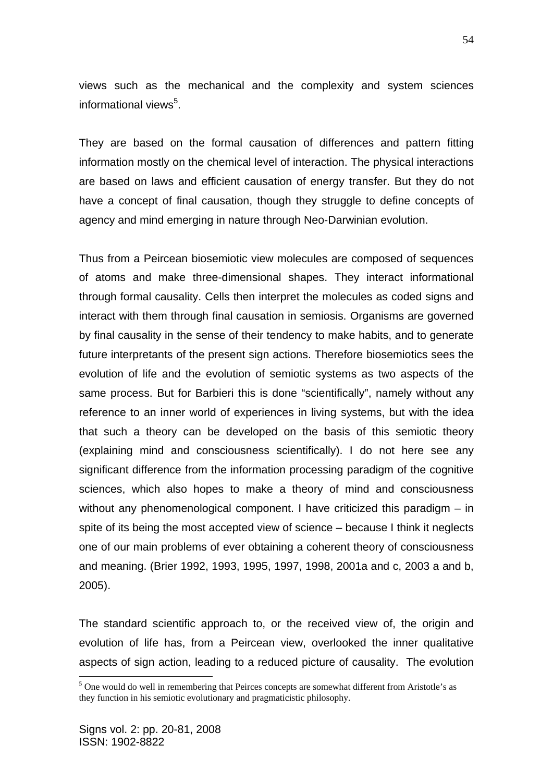views such as the mechanical and the complexity and system sciences informational views<sup>5</sup>.

They are based on the formal causation of differences and pattern fitting information mostly on the chemical level of interaction. The physical interactions are based on laws and efficient causation of energy transfer. But they do not have a concept of final causation, though they struggle to define concepts of agency and mind emerging in nature through Neo-Darwinian evolution.

Thus from a Peircean biosemiotic view molecules are composed of sequences of atoms and make three-dimensional shapes. They interact informational through formal causality. Cells then interpret the molecules as coded signs and interact with them through final causation in semiosis. Organisms are governed by final causality in the sense of their tendency to make habits, and to generate future interpretants of the present sign actions. Therefore biosemiotics sees the evolution of life and the evolution of semiotic systems as two aspects of the same process. But for Barbieri this is done "scientifically", namely without any reference to an inner world of experiences in living systems, but with the idea that such a theory can be developed on the basis of this semiotic theory (explaining mind and consciousness scientifically). I do not here see any significant difference from the information processing paradigm of the cognitive sciences, which also hopes to make a theory of mind and consciousness without any phenomenological component. I have criticized this paradigm – in spite of its being the most accepted view of science – because I think it neglects one of our main problems of ever obtaining a coherent theory of consciousness and meaning. (Brier 1992, 1993, 1995, 1997, 1998, 2001a and c, 2003 a and b, 2005).

The standard scientific approach to, or the received view of, the origin and evolution of life has, from a Peircean view, overlooked the inner qualitative aspects of sign action, leading to a reduced picture of causality. The evolution

1

<sup>&</sup>lt;sup>5</sup> One would do well in remembering that Peirces concepts are somewhat different from Aristotle's as they function in his semiotic evolutionary and pragmaticistic philosophy.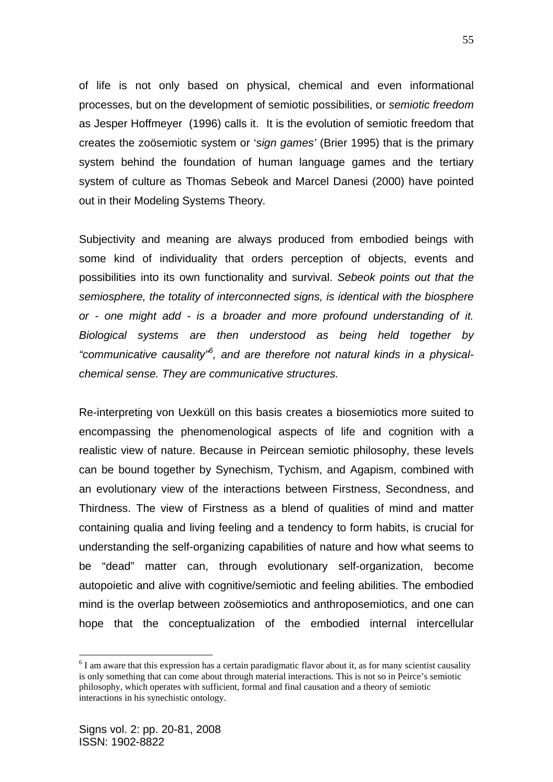of life is not only based on physical, chemical and even informational processes, but on the development of semiotic possibilities, or *semiotic freedom* as Jesper Hoffmeyer (1996) calls it. It is the evolution of semiotic freedom that creates the zoösemiotic system or '*sign games'* (Brier 1995) that is the primary system behind the foundation of human language games and the tertiary system of culture as Thomas Sebeok and Marcel Danesi (2000) have pointed out in their Modeling Systems Theory*.* 

Subjectivity and meaning are always produced from embodied beings with some kind of individuality that orders perception of objects, events and possibilities into its own functionality and survival. *Sebeok points out that the semiosphere, the totality of interconnected signs, is identical with the biosphere or - one might add - is a broader and more profound understanding of it. Biological systems are then understood as being held together by "communicative causality"<sup>6</sup> , and are therefore not natural kinds in a physicalchemical sense. They are communicative structures.*

Re-interpreting von Uexküll on this basis creates a biosemiotics more suited to encompassing the phenomenological aspects of life and cognition with a realistic view of nature. Because in Peircean semiotic philosophy, these levels can be bound together by Synechism, Tychism, and Agapism, combined with an evolutionary view of the interactions between Firstness, Secondness, and Thirdness. The view of Firstness as a blend of qualities of mind and matter containing qualia and living feeling and a tendency to form habits, is crucial for understanding the self-organizing capabilities of nature and how what seems to be "dead" matter can, through evolutionary self-organization, become autopoietic and alive with cognitive/semiotic and feeling abilities. The embodied mind is the overlap between zoösemiotics and anthroposemiotics, and one can hope that the conceptualization of the embodied internal intercellular

<u>.</u>

 $6$  I am aware that this expression has a certain paradigmatic flavor about it, as for many scientist causality is only something that can come about through material interactions. This is not so in Peirce's semiotic philosophy, which operates with sufficient, formal and final causation and a theory of semiotic interactions in his synechistic ontology.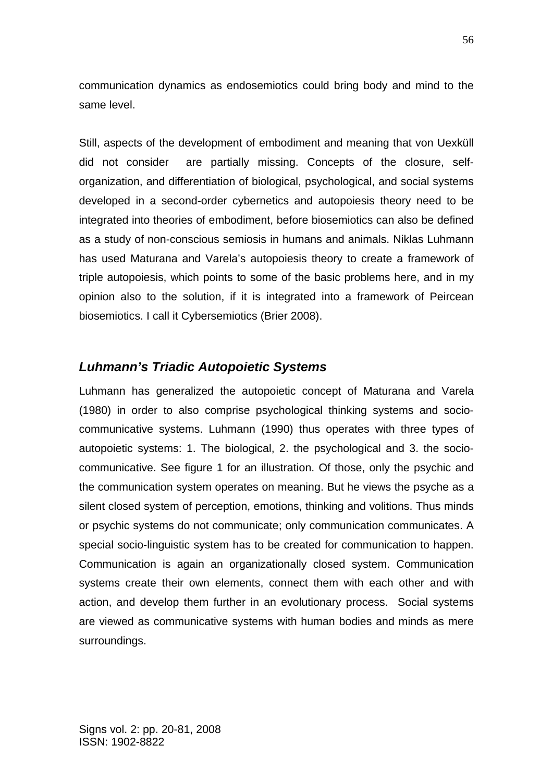communication dynamics as endosemiotics could bring body and mind to the same level.

Still, aspects of the development of embodiment and meaning that von Uexküll did not consider are partially missing. Concepts of the closure, selforganization, and differentiation of biological, psychological, and social systems developed in a second-order cybernetics and autopoiesis theory need to be integrated into theories of embodiment, before biosemiotics can also be defined as a study of non-conscious semiosis in humans and animals. Niklas Luhmann has used Maturana and Varela's autopoiesis theory to create a framework of triple autopoiesis, which points to some of the basic problems here, and in my opinion also to the solution, if it is integrated into a framework of Peircean biosemiotics. I call it Cybersemiotics (Brier 2008).

### *Luhmann's Triadic Autopoietic Systems*

Luhmann has generalized the autopoietic concept of Maturana and Varela (1980) in order to also comprise psychological thinking systems and sociocommunicative systems. Luhmann (1990) thus operates with three types of autopoietic systems: 1. The biological, 2. the psychological and 3. the sociocommunicative. See figure 1 for an illustration. Of those, only the psychic and the communication system operates on meaning. But he views the psyche as a silent closed system of perception, emotions, thinking and volitions. Thus minds or psychic systems do not communicate; only communication communicates. A special socio-linguistic system has to be created for communication to happen. Communication is again an organizationally closed system. Communication systems create their own elements, connect them with each other and with action, and develop them further in an evolutionary process. Social systems are viewed as communicative systems with human bodies and minds as mere surroundings.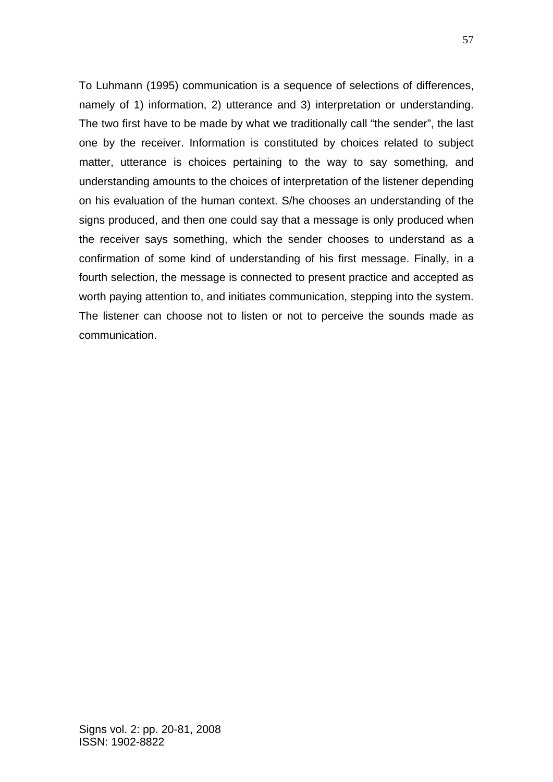To Luhmann (1995) communication is a sequence of selections of differences, namely of 1) information, 2) utterance and 3) interpretation or understanding. The two first have to be made by what we traditionally call "the sender", the last one by the receiver. Information is constituted by choices related to subject matter, utterance is choices pertaining to the way to say something, and understanding amounts to the choices of interpretation of the listener depending on his evaluation of the human context. S/he chooses an understanding of the signs produced, and then one could say that a message is only produced when the receiver says something, which the sender chooses to understand as a confirmation of some kind of understanding of his first message. Finally, in a fourth selection, the message is connected to present practice and accepted as worth paying attention to, and initiates communication, stepping into the system. The listener can choose not to listen or not to perceive the sounds made as communication.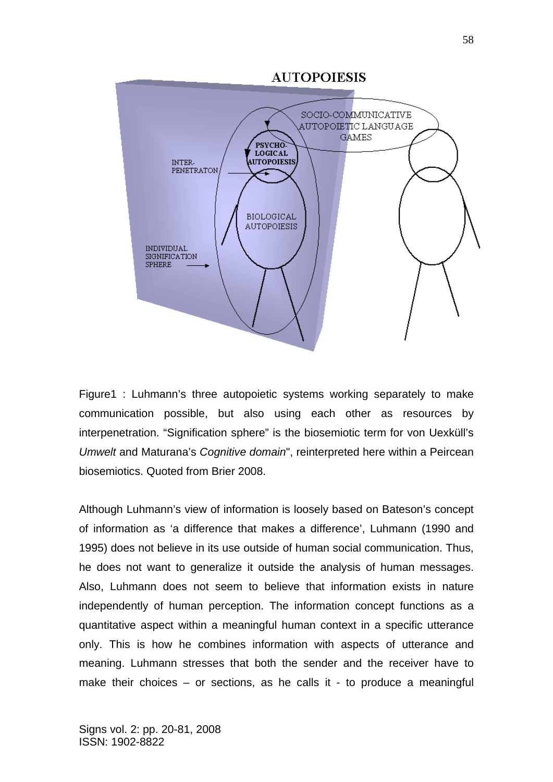

Figure1 : Luhmann's three autopoietic systems working separately to make communication possible, but also using each other as resources by interpenetration. "Signification sphere" is the biosemiotic term for von Uexküll's *Umwelt* and Maturana's *Cognitive domain*", reinterpreted here within a Peircean biosemiotics. Quoted from Brier 2008.

Although Luhmann's view of information is loosely based on Bateson's concept of information as 'a difference that makes a difference', Luhmann (1990 and 1995) does not believe in its use outside of human social communication. Thus, he does not want to generalize it outside the analysis of human messages. Also, Luhmann does not seem to believe that information exists in nature independently of human perception. The information concept functions as a quantitative aspect within a meaningful human context in a specific utterance only. This is how he combines information with aspects of utterance and meaning. Luhmann stresses that both the sender and the receiver have to make their choices  $-$  or sections, as he calls it - to produce a meaningful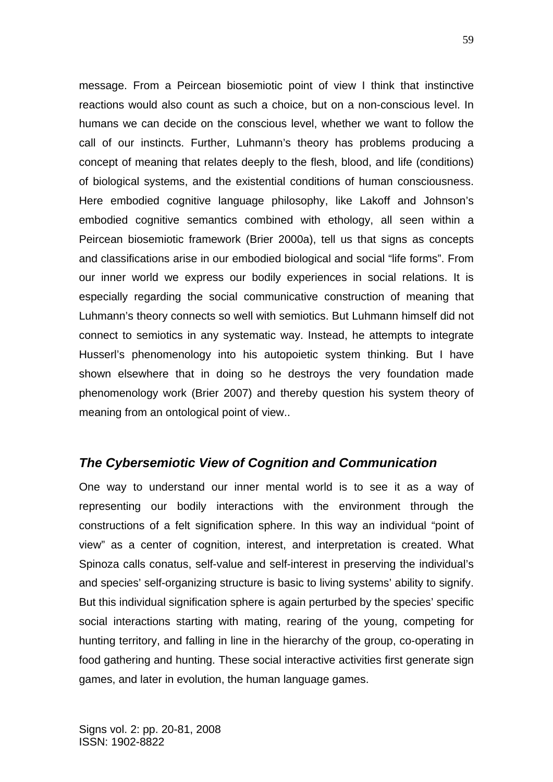message. From a Peircean biosemiotic point of view I think that instinctive reactions would also count as such a choice, but on a non-conscious level. In humans we can decide on the conscious level, whether we want to follow the call of our instincts. Further, Luhmann's theory has problems producing a concept of meaning that relates deeply to the flesh, blood, and life (conditions) of biological systems, and the existential conditions of human consciousness. Here embodied cognitive language philosophy, like Lakoff and Johnson's embodied cognitive semantics combined with ethology, all seen within a Peircean biosemiotic framework (Brier 2000a), tell us that signs as concepts and classifications arise in our embodied biological and social "life forms". From our inner world we express our bodily experiences in social relations. It is especially regarding the social communicative construction of meaning that Luhmann's theory connects so well with semiotics. But Luhmann himself did not connect to semiotics in any systematic way. Instead, he attempts to integrate Husserl's phenomenology into his autopoietic system thinking. But I have shown elsewhere that in doing so he destroys the very foundation made phenomenology work (Brier 2007) and thereby question his system theory of meaning from an ontological point of view..

## *The Cybersemiotic View of Cognition and Communication*

One way to understand our inner mental world is to see it as a way of representing our bodily interactions with the environment through the constructions of a felt signification sphere. In this way an individual "point of view" as a center of cognition, interest, and interpretation is created. What Spinoza calls conatus, self-value and self-interest in preserving the individual's and species' self-organizing structure is basic to living systems' ability to signify. But this individual signification sphere is again perturbed by the species' specific social interactions starting with mating, rearing of the young, competing for hunting territory, and falling in line in the hierarchy of the group, co-operating in food gathering and hunting. These social interactive activities first generate sign games, and later in evolution, the human language games.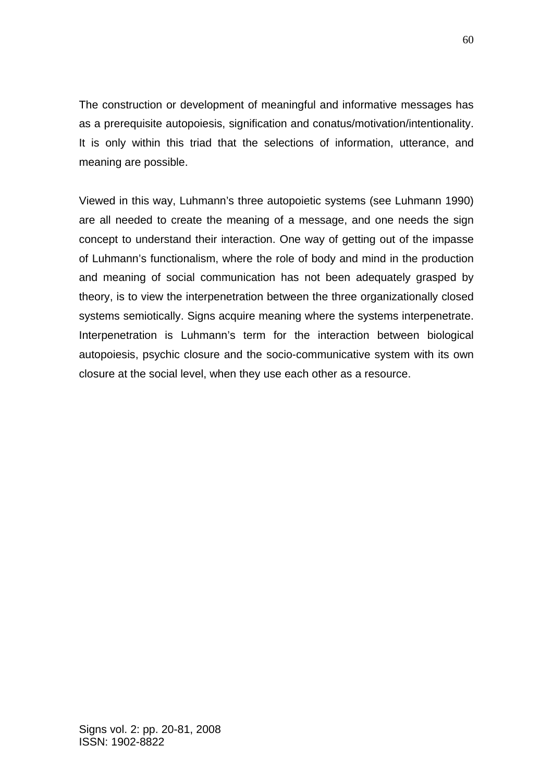The construction or development of meaningful and informative messages has as a prerequisite autopoiesis, signification and conatus/motivation/intentionality. It is only within this triad that the selections of information, utterance, and meaning are possible.

Viewed in this way, Luhmann's three autopoietic systems (see Luhmann 1990) are all needed to create the meaning of a message, and one needs the sign concept to understand their interaction. One way of getting out of the impasse of Luhmann's functionalism, where the role of body and mind in the production and meaning of social communication has not been adequately grasped by theory, is to view the interpenetration between the three organizationally closed systems semiotically. Signs acquire meaning where the systems interpenetrate. Interpenetration is Luhmann's term for the interaction between biological autopoiesis, psychic closure and the socio-communicative system with its own closure at the social level, when they use each other as a resource.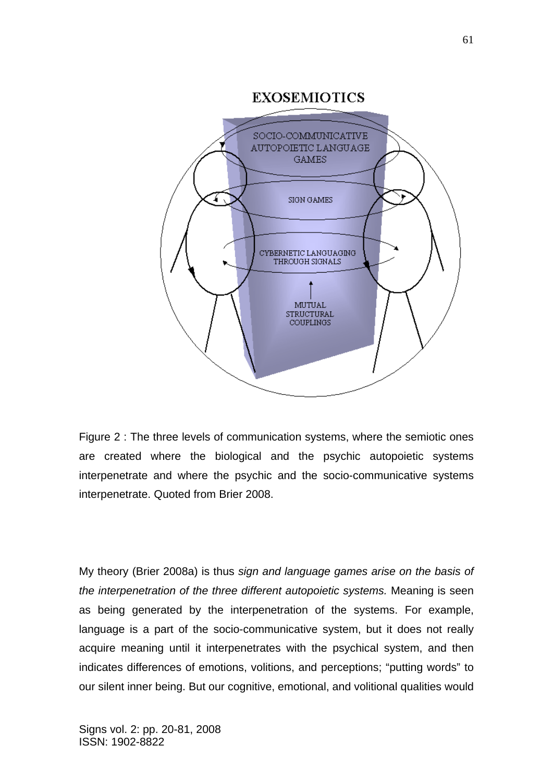

Figure 2 : The three levels of communication systems, where the semiotic ones are created where the biological and the psychic autopoietic systems interpenetrate and where the psychic and the socio-communicative systems interpenetrate. Quoted from Brier 2008.

My theory (Brier 2008a) is thus *sign and language games arise on the basis of the interpenetration of the three different autopoietic systems.* Meaning is seen as being generated by the interpenetration of the systems. For example, language is a part of the socio-communicative system, but it does not really acquire meaning until it interpenetrates with the psychical system, and then indicates differences of emotions, volitions, and perceptions; "putting words" to our silent inner being. But our cognitive, emotional, and volitional qualities would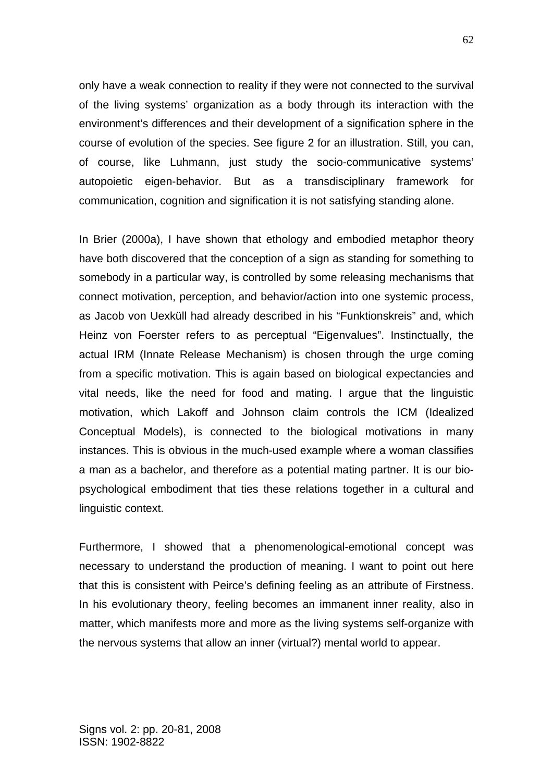only have a weak connection to reality if they were not connected to the survival of the living systems' organization as a body through its interaction with the environment's differences and their development of a signification sphere in the course of evolution of the species. See figure 2 for an illustration. Still, you can, of course, like Luhmann, just study the socio-communicative systems' autopoietic eigen-behavior. But as a transdisciplinary framework for communication, cognition and signification it is not satisfying standing alone.

In Brier (2000a), I have shown that ethology and embodied metaphor theory have both discovered that the conception of a sign as standing for something to somebody in a particular way, is controlled by some releasing mechanisms that connect motivation, perception, and behavior/action into one systemic process, as Jacob von Uexküll had already described in his "Funktionskreis" and, which Heinz von Foerster refers to as perceptual "Eigenvalues". Instinctually, the actual IRM (Innate Release Mechanism) is chosen through the urge coming from a specific motivation. This is again based on biological expectancies and vital needs, like the need for food and mating. I argue that the linguistic motivation, which Lakoff and Johnson claim controls the ICM (Idealized Conceptual Models), is connected to the biological motivations in many instances. This is obvious in the much-used example where a woman classifies a man as a bachelor, and therefore as a potential mating partner. It is our biopsychological embodiment that ties these relations together in a cultural and linguistic context.

Furthermore, I showed that a phenomenological-emotional concept was necessary to understand the production of meaning. I want to point out here that this is consistent with Peirce's defining feeling as an attribute of Firstness. In his evolutionary theory, feeling becomes an immanent inner reality, also in matter, which manifests more and more as the living systems self-organize with the nervous systems that allow an inner (virtual?) mental world to appear.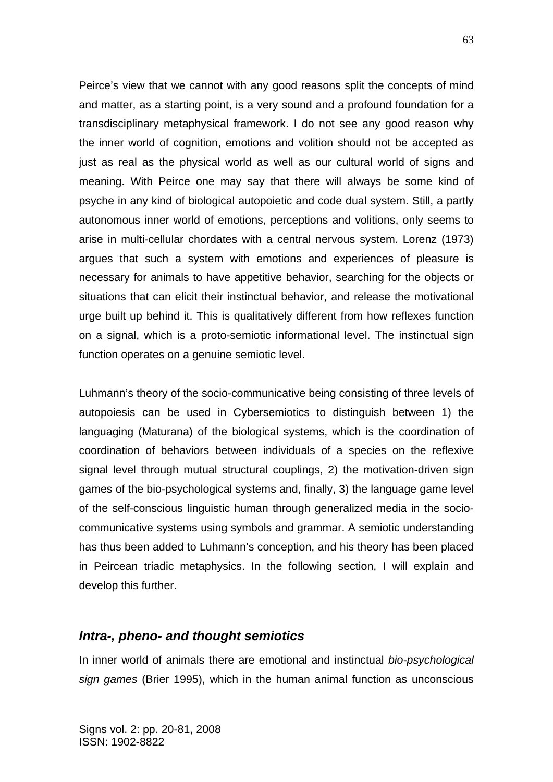Peirce's view that we cannot with any good reasons split the concepts of mind and matter, as a starting point, is a very sound and a profound foundation for a transdisciplinary metaphysical framework. I do not see any good reason why the inner world of cognition, emotions and volition should not be accepted as just as real as the physical world as well as our cultural world of signs and meaning. With Peirce one may say that there will always be some kind of psyche in any kind of biological autopoietic and code dual system. Still, a partly autonomous inner world of emotions, perceptions and volitions, only seems to arise in multi-cellular chordates with a central nervous system. Lorenz (1973) argues that such a system with emotions and experiences of pleasure is necessary for animals to have appetitive behavior, searching for the objects or situations that can elicit their instinctual behavior, and release the motivational urge built up behind it. This is qualitatively different from how reflexes function on a signal, which is a proto-semiotic informational level. The instinctual sign function operates on a genuine semiotic level.

Luhmann's theory of the socio-communicative being consisting of three levels of autopoiesis can be used in Cybersemiotics to distinguish between 1) the languaging (Maturana) of the biological systems, which is the coordination of coordination of behaviors between individuals of a species on the reflexive signal level through mutual structural couplings, 2) the motivation-driven sign games of the bio-psychological systems and, finally, 3) the language game level of the self-conscious linguistic human through generalized media in the sociocommunicative systems using symbols and grammar. A semiotic understanding has thus been added to Luhmann's conception, and his theory has been placed in Peircean triadic metaphysics. In the following section, I will explain and develop this further.

### *Intra-, pheno- and thought semiotics*

In inner world of animals there are emotional and instinctual *bio-psychological sign games* (Brier 1995), which in the human animal function as unconscious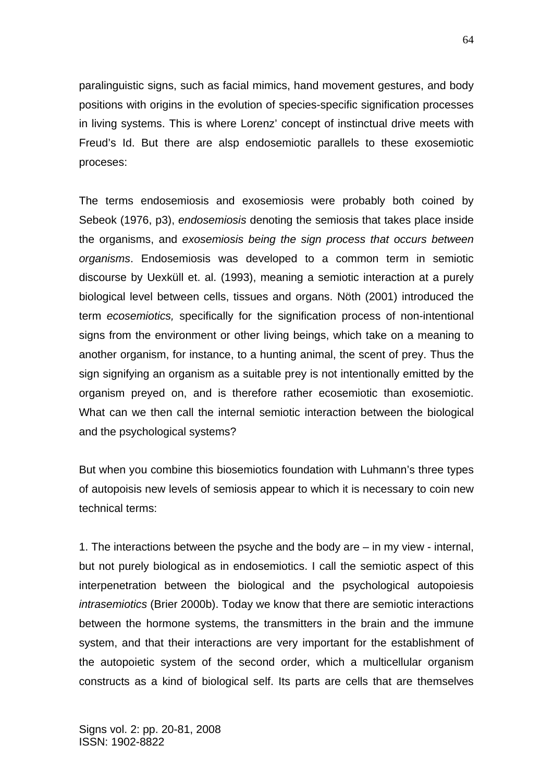paralinguistic signs, such as facial mimics, hand movement gestures, and body positions with origins in the evolution of species-specific signification processes in living systems. This is where Lorenz' concept of instinctual drive meets with Freud's Id. But there are alsp endosemiotic parallels to these exosemiotic proceses:

The terms endosemiosis and exosemiosis were probably both coined by Sebeok (1976, p3), *endosemiosis* denoting the semiosis that takes place inside the organisms, and *exosemiosis being the sign process that occurs between organisms*. Endosemiosis was developed to a common term in semiotic discourse by Uexküll et. al. (1993), meaning a semiotic interaction at a purely biological level between cells, tissues and organs. Nöth (2001) introduced the term *ecosemiotics,* specifically for the signification process of non-intentional signs from the environment or other living beings, which take on a meaning to another organism, for instance, to a hunting animal, the scent of prey. Thus the sign signifying an organism as a suitable prey is not intentionally emitted by the organism preyed on, and is therefore rather ecosemiotic than exosemiotic. What can we then call the internal semiotic interaction between the biological and the psychological systems?

But when you combine this biosemiotics foundation with Luhmann's three types of autopoisis new levels of semiosis appear to which it is necessary to coin new technical terms:

1. The interactions between the psyche and the body are – in my view - internal, but not purely biological as in endosemiotics. I call the semiotic aspect of this interpenetration between the biological and the psychological autopoiesis *intrasemiotics* (Brier 2000b). Today we know that there are semiotic interactions between the hormone systems, the transmitters in the brain and the immune system, and that their interactions are very important for the establishment of the autopoietic system of the second order, which a multicellular organism constructs as a kind of biological self. Its parts are cells that are themselves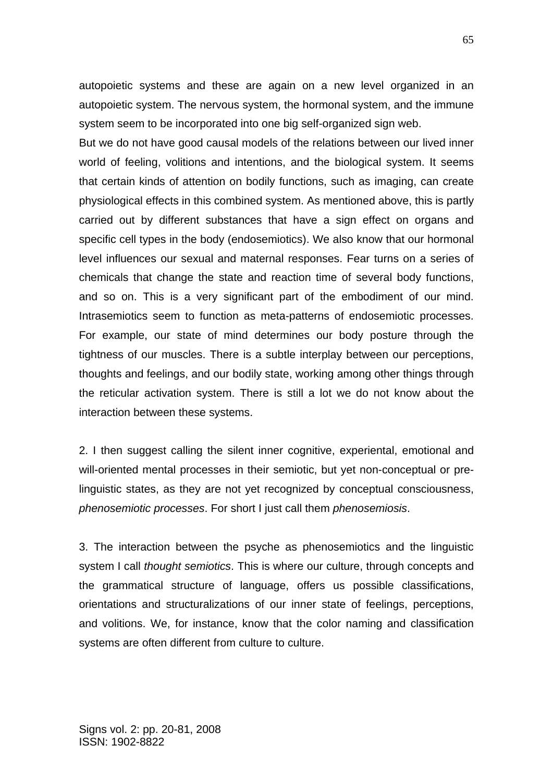autopoietic systems and these are again on a new level organized in an autopoietic system. The nervous system, the hormonal system, and the immune system seem to be incorporated into one big self-organized sign web.

But we do not have good causal models of the relations between our lived inner world of feeling, volitions and intentions, and the biological system. It seems that certain kinds of attention on bodily functions, such as imaging, can create physiological effects in this combined system. As mentioned above, this is partly carried out by different substances that have a sign effect on organs and specific cell types in the body (endosemiotics). We also know that our hormonal level influences our sexual and maternal responses. Fear turns on a series of chemicals that change the state and reaction time of several body functions, and so on. This is a very significant part of the embodiment of our mind. Intrasemiotics seem to function as meta-patterns of endosemiotic processes. For example, our state of mind determines our body posture through the tightness of our muscles. There is a subtle interplay between our perceptions, thoughts and feelings, and our bodily state, working among other things through the reticular activation system. There is still a lot we do not know about the interaction between these systems.

2. I then suggest calling the silent inner cognitive, experiental, emotional and will-oriented mental processes in their semiotic, but yet non-conceptual or prelinguistic states, as they are not yet recognized by conceptual consciousness, *phenosemiotic processes*. For short I just call them *phenosemiosis*.

3. The interaction between the psyche as phenosemiotics and the linguistic system I call *thought semiotics*. This is where our culture, through concepts and the grammatical structure of language, offers us possible classifications, orientations and structuralizations of our inner state of feelings, perceptions, and volitions. We, for instance, know that the color naming and classification systems are often different from culture to culture.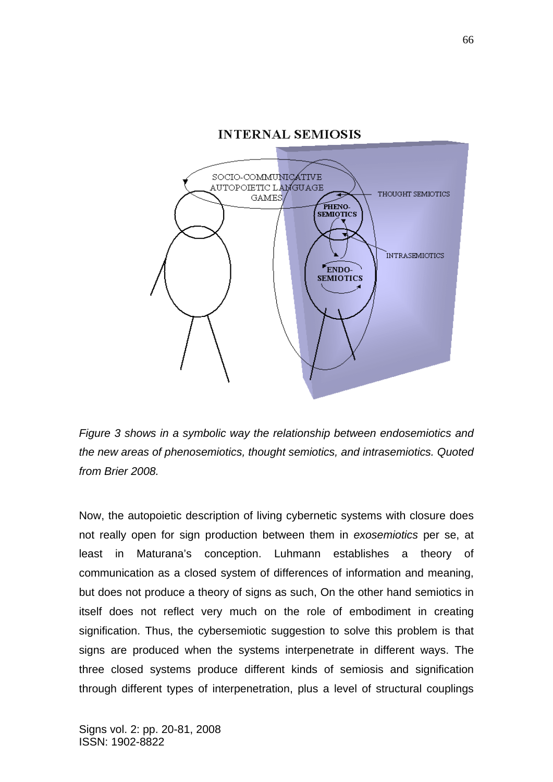

*Figure 3 shows in a symbolic way the relationship between endosemiotics and the new areas of phenosemiotics, thought semiotics, and intrasemiotics. Quoted from Brier 2008.* 

Now, the autopoietic description of living cybernetic systems with closure does not really open for sign production between them in *exosemiotics* per se, at least in Maturana's conception. Luhmann establishes a theory of communication as a closed system of differences of information and meaning, but does not produce a theory of signs as such, On the other hand semiotics in itself does not reflect very much on the role of embodiment in creating signification. Thus, the cybersemiotic suggestion to solve this problem is that signs are produced when the systems interpenetrate in different ways. The three closed systems produce different kinds of semiosis and signification through different types of interpenetration, plus a level of structural couplings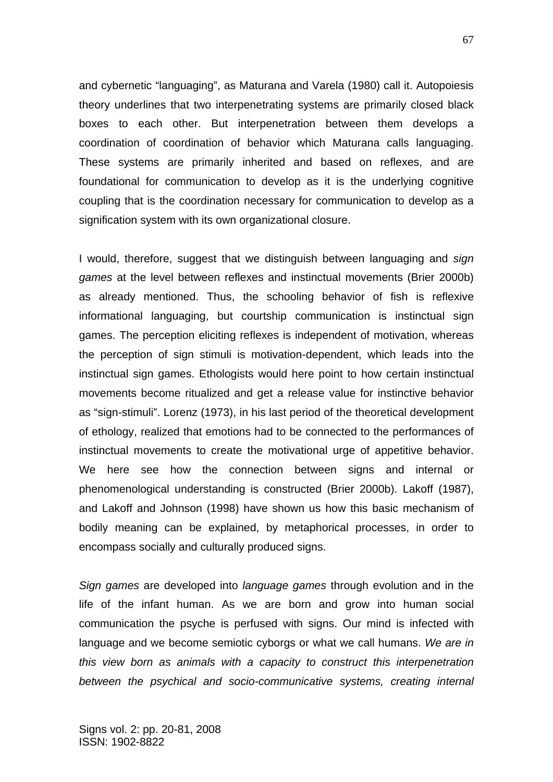and cybernetic "languaging", as Maturana and Varela (1980) call it. Autopoiesis theory underlines that two interpenetrating systems are primarily closed black boxes to each other. But interpenetration between them develops a coordination of coordination of behavior which Maturana calls languaging. These systems are primarily inherited and based on reflexes, and are foundational for communication to develop as it is the underlying cognitive coupling that is the coordination necessary for communication to develop as a signification system with its own organizational closure.

I would, therefore, suggest that we distinguish between languaging and *sign games* at the level between reflexes and instinctual movements (Brier 2000b) as already mentioned. Thus, the schooling behavior of fish is reflexive informational languaging, but courtship communication is instinctual sign games. The perception eliciting reflexes is independent of motivation, whereas the perception of sign stimuli is motivation-dependent, which leads into the instinctual sign games. Ethologists would here point to how certain instinctual movements become ritualized and get a release value for instinctive behavior as "sign-stimuli". Lorenz (1973), in his last period of the theoretical development of ethology, realized that emotions had to be connected to the performances of instinctual movements to create the motivational urge of appetitive behavior. We here see how the connection between signs and internal or phenomenological understanding is constructed (Brier 2000b). Lakoff (1987), and Lakoff and Johnson (1998) have shown us how this basic mechanism of bodily meaning can be explained, by metaphorical processes, in order to encompass socially and culturally produced signs.

*Sign games* are developed into *language games* through evolution and in the life of the infant human. As we are born and grow into human social communication the psyche is perfused with signs. Our mind is infected with language and we become semiotic cyborgs or what we call humans. *We are in this view born as animals with a capacity to construct this interpenetration*  between the psychical and socio-communicative systems, creating internal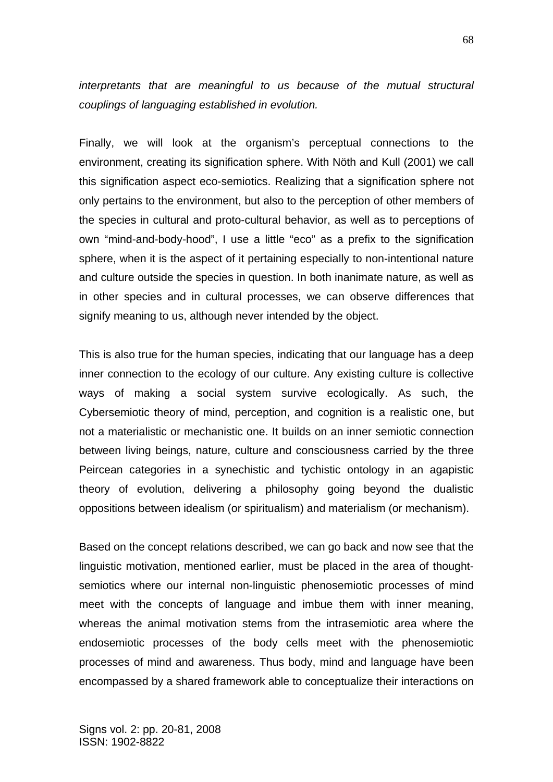*interpretants that are meaningful to us because of the mutual structural couplings of languaging established in evolution.* 

Finally, we will look at the organism's perceptual connections to the environment, creating its signification sphere. With Nöth and Kull (2001) we call this signification aspect eco-semiotics. Realizing that a signification sphere not only pertains to the environment, but also to the perception of other members of the species in cultural and proto-cultural behavior, as well as to perceptions of own "mind-and-body-hood", I use a little "eco" as a prefix to the signification sphere, when it is the aspect of it pertaining especially to non-intentional nature and culture outside the species in question. In both inanimate nature, as well as in other species and in cultural processes, we can observe differences that signify meaning to us, although never intended by the object.

This is also true for the human species, indicating that our language has a deep inner connection to the ecology of our culture. Any existing culture is collective ways of making a social system survive ecologically. As such, the Cybersemiotic theory of mind, perception, and cognition is a realistic one, but not a materialistic or mechanistic one. It builds on an inner semiotic connection between living beings, nature, culture and consciousness carried by the three Peircean categories in a synechistic and tychistic ontology in an agapistic theory of evolution, delivering a philosophy going beyond the dualistic oppositions between idealism (or spiritualism) and materialism (or mechanism).

Based on the concept relations described, we can go back and now see that the linguistic motivation, mentioned earlier, must be placed in the area of thoughtsemiotics where our internal non-linguistic phenosemiotic processes of mind meet with the concepts of language and imbue them with inner meaning, whereas the animal motivation stems from the intrasemiotic area where the endosemiotic processes of the body cells meet with the phenosemiotic processes of mind and awareness. Thus body, mind and language have been encompassed by a shared framework able to conceptualize their interactions on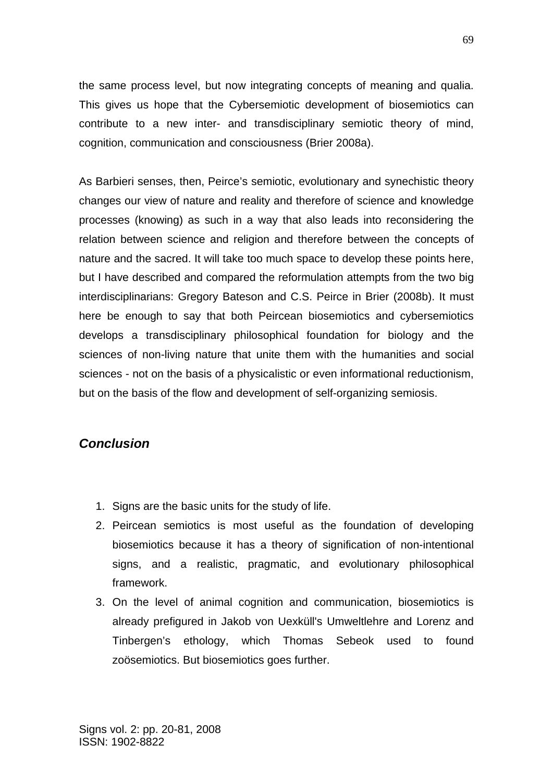the same process level, but now integrating concepts of meaning and qualia. This gives us hope that the Cybersemiotic development of biosemiotics can contribute to a new inter- and transdisciplinary semiotic theory of mind, cognition, communication and consciousness (Brier 2008a).

As Barbieri senses, then, Peirce's semiotic, evolutionary and synechistic theory changes our view of nature and reality and therefore of science and knowledge processes (knowing) as such in a way that also leads into reconsidering the relation between science and religion and therefore between the concepts of nature and the sacred. It will take too much space to develop these points here, but I have described and compared the reformulation attempts from the two big interdisciplinarians: Gregory Bateson and C.S. Peirce in Brier (2008b). It must here be enough to say that both Peircean biosemiotics and cybersemiotics develops a transdisciplinary philosophical foundation for biology and the sciences of non-living nature that unite them with the humanities and social sciences - not on the basis of a physicalistic or even informational reductionism, but on the basis of the flow and development of self-organizing semiosis.

## *Conclusion*

- 1. Signs are the basic units for the study of life.
- 2. Peircean semiotics is most useful as the foundation of developing biosemiotics because it has a theory of signification of non-intentional signs, and a realistic, pragmatic, and evolutionary philosophical framework.
- 3. On the level of animal cognition and communication, biosemiotics is already prefigured in Jakob von Uexküll's Umweltlehre and Lorenz and Tinbergen's ethology, which Thomas Sebeok used to found zoösemiotics. But biosemiotics goes further.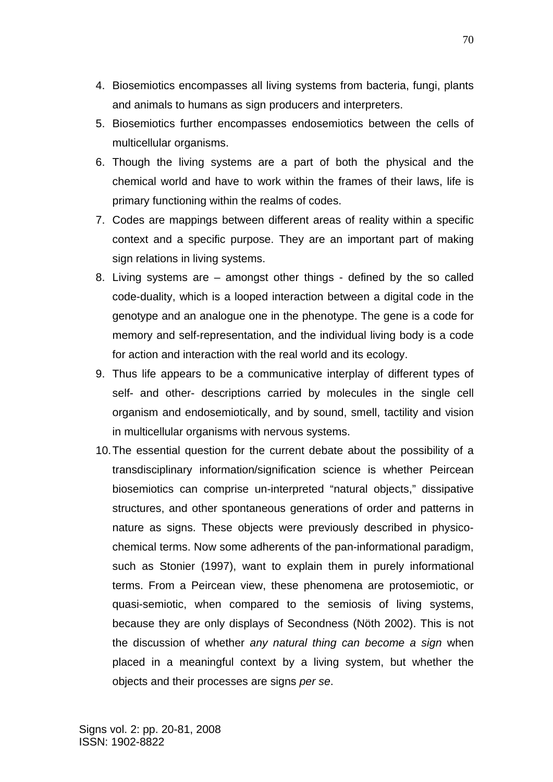- 4. Biosemiotics encompasses all living systems from bacteria, fungi, plants and animals to humans as sign producers and interpreters.
- 5. Biosemiotics further encompasses endosemiotics between the cells of multicellular organisms.
- 6. Though the living systems are a part of both the physical and the chemical world and have to work within the frames of their laws, life is primary functioning within the realms of codes.
- 7. Codes are mappings between different areas of reality within a specific context and a specific purpose. They are an important part of making sign relations in living systems.
- 8. Living systems are amongst other things defined by the so called code-duality, which is a looped interaction between a digital code in the genotype and an analogue one in the phenotype. The gene is a code for memory and self-representation, and the individual living body is a code for action and interaction with the real world and its ecology.
- 9. Thus life appears to be a communicative interplay of different types of self- and other- descriptions carried by molecules in the single cell organism and endosemiotically, and by sound, smell, tactility and vision in multicellular organisms with nervous systems.
- 10. The essential question for the current debate about the possibility of a transdisciplinary information/signification science is whether Peircean biosemiotics can comprise un-interpreted "natural objects," dissipative structures, and other spontaneous generations of order and patterns in nature as signs. These objects were previously described in physicochemical terms. Now some adherents of the pan-informational paradigm, such as Stonier (1997), want to explain them in purely informational terms. From a Peircean view, these phenomena are protosemiotic, or quasi-semiotic, when compared to the semiosis of living systems, because they are only displays of Secondness (Nöth 2002). This is not the discussion of whether *any natural thing can become a sign* when placed in a meaningful context by a living system, but whether the objects and their processes are signs *per se*.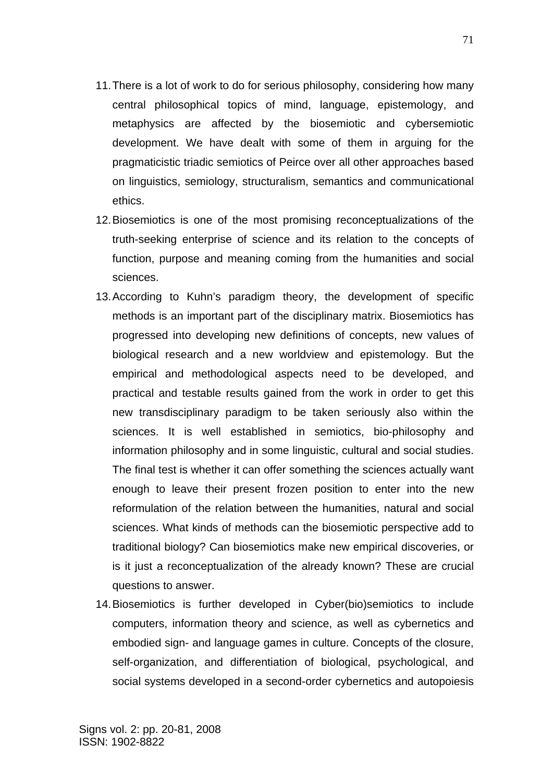- 11. There is a lot of work to do for serious philosophy, considering how many central philosophical topics of mind, language, epistemology, and metaphysics are affected by the biosemiotic and cybersemiotic development. We have dealt with some of them in arguing for the pragmaticistic triadic semiotics of Peirce over all other approaches based on linguistics, semiology, structuralism, semantics and communicational ethics.
- 12. Biosemiotics is one of the most promising reconceptualizations of the truth-seeking enterprise of science and its relation to the concepts of function, purpose and meaning coming from the humanities and social sciences.
- 13. According to Kuhn's paradigm theory, the development of specific methods is an important part of the disciplinary matrix. Biosemiotics has progressed into developing new definitions of concepts, new values of biological research and a new worldview and epistemology. But the empirical and methodological aspects need to be developed, and practical and testable results gained from the work in order to get this new transdisciplinary paradigm to be taken seriously also within the sciences. It is well established in semiotics, bio-philosophy and information philosophy and in some linguistic, cultural and social studies. The final test is whether it can offer something the sciences actually want enough to leave their present frozen position to enter into the new reformulation of the relation between the humanities, natural and social sciences. What kinds of methods can the biosemiotic perspective add to traditional biology? Can biosemiotics make new empirical discoveries, or is it just a reconceptualization of the already known? These are crucial questions to answer.
- 14. Biosemiotics is further developed in Cyber(bio)semiotics to include computers, information theory and science, as well as cybernetics and embodied sign- and language games in culture. Concepts of the closure, self-organization, and differentiation of biological, psychological, and social systems developed in a second-order cybernetics and autopoiesis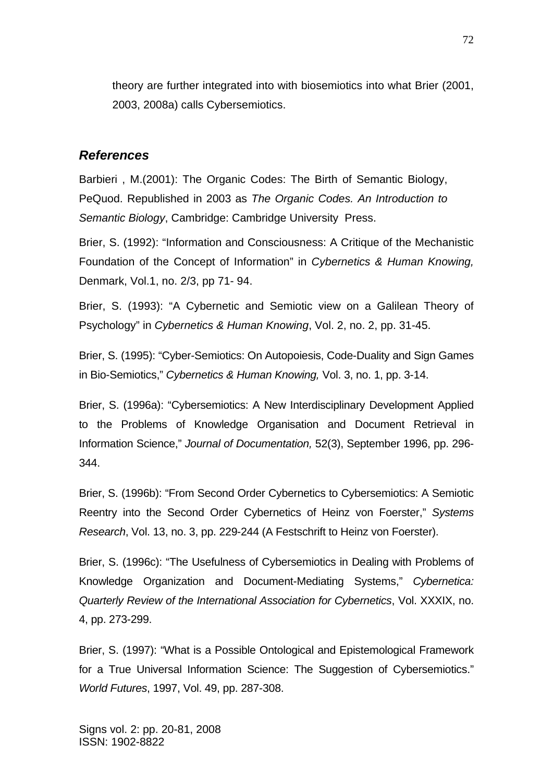theory are further integrated into with biosemiotics into what Brier (2001, 2003, 2008a) calls Cybersemiotics.

### *References*

Barbieri , M.(2001): The Organic Codes: The Birth of Semantic Biology, PeQuod. Republished in 2003 as *The Organic Codes. An Introduction to Semantic Biology*, Cambridge: Cambridge University Press.

Brier, S. (1992): "Information and Consciousness: A Critique of the Mechanistic Foundation of the Concept of Information" in *Cybernetics & Human Knowing,* Denmark, Vol.1, no. 2/3, pp 71- 94.

Brier, S. (1993): "A Cybernetic and Semiotic view on a Galilean Theory of Psychology" in *Cybernetics & Human Knowing*, Vol. 2, no. 2, pp. 31-45.

Brier, S. (1995): "Cyber-Semiotics: On Autopoiesis, Code-Duality and Sign Games in Bio-Semiotics," *Cybernetics & Human Knowing,* Vol. 3, no. 1, pp. 3-14.

Brier, S. (1996a): "Cybersemiotics: A New Interdisciplinary Development Applied to the Problems of Knowledge Organisation and Document Retrieval in Information Science," *Journal of Documentation,* 52(3), September 1996, pp. 296- 344.

Brier, S. (1996b): "From Second Order Cybernetics to Cybersemiotics: A Semiotic Reentry into the Second Order Cybernetics of Heinz von Foerster," *Systems Research*, Vol. 13, no. 3, pp. 229-244 (A Festschrift to Heinz von Foerster).

Brier, S. (1996c): "The Usefulness of Cybersemiotics in Dealing with Problems of Knowledge Organization and Document-Mediating Systems," *Cybernetica: Quarterly Review of the International Association for Cybernetics*, Vol. XXXIX, no. 4, pp. 273-299.

Brier, S. (1997): "What is a Possible Ontological and Epistemological Framework for a True Universal Information Science: The Suggestion of Cybersemiotics." *World Futures*, 1997, Vol. 49, pp. 287-308.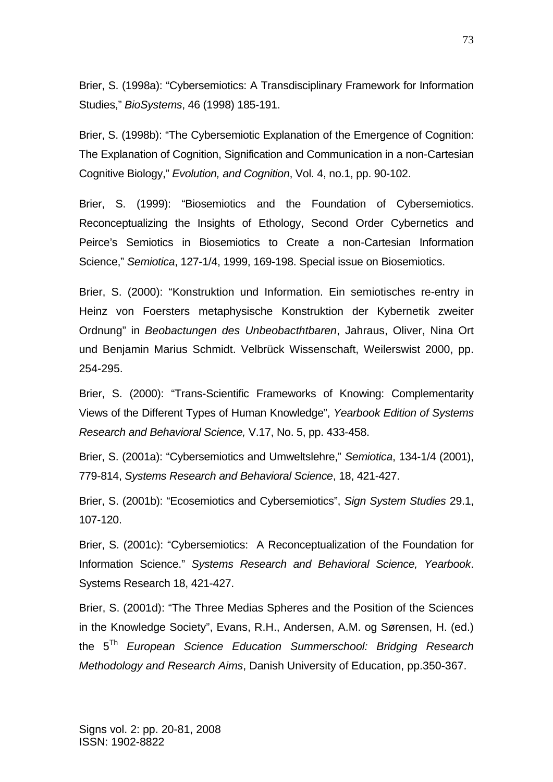Brier, S. (1998a): "Cybersemiotics: A Transdisciplinary Framework for Information Studies," *BioSystems*, 46 (1998) 185-191.

Brier, S. (1998b): "The Cybersemiotic Explanation of the Emergence of Cognition: The Explanation of Cognition, Signification and Communication in a non-Cartesian Cognitive Biology," *Evolution, and Cognition*, Vol. 4, no.1, pp. 90-102.

Brier, S. (1999): "Biosemiotics and the Foundation of Cybersemiotics. Reconceptualizing the Insights of Ethology, Second Order Cybernetics and Peirce's Semiotics in Biosemiotics to Create a non-Cartesian Information Science," *Semiotica*, 127-1/4, 1999, 169-198. Special issue on Biosemiotics.

Brier, S. (2000): "Konstruktion und Information. Ein semiotisches re-entry in Heinz von Foersters metaphysische Konstruktion der Kybernetik zweiter Ordnung" in *Beobactungen des Unbeobacthtbaren*, Jahraus, Oliver, Nina Ort und Benjamin Marius Schmidt. Velbrück Wissenschaft, Weilerswist 2000, pp. 254-295.

Brier, S. (2000): "Trans-Scientific Frameworks of Knowing: Complementarity Views of the Different Types of Human Knowledge", *Yearbook Edition of Systems Research and Behavioral Science,* V.17, No. 5, pp. 433-458.

Brier, S. (2001a): "Cybersemiotics and Umweltslehre," *Semiotica*, 134-1/4 (2001), 779-814, *Systems Research and Behavioral Science*, 18, 421-427.

Brier, S. (2001b): "Ecosemiotics and Cybersemiotics", *Sign System Studies* 29.1, 107-120.

Brier, S. (2001c): "Cybersemiotics: A Reconceptualization of the Foundation for Information Science." *Systems Research and Behavioral Science, Yearbook*. Systems Research 18, 421-427.

Brier, S. (2001d): "The Three Medias Spheres and the Position of the Sciences in the Knowledge Society", Evans, R.H., Andersen, A.M. og Sørensen, H. (ed.) the 5Th *European Science Education Summerschool: Bridging Research Methodology and Research Aims*, Danish University of Education, pp.350-367.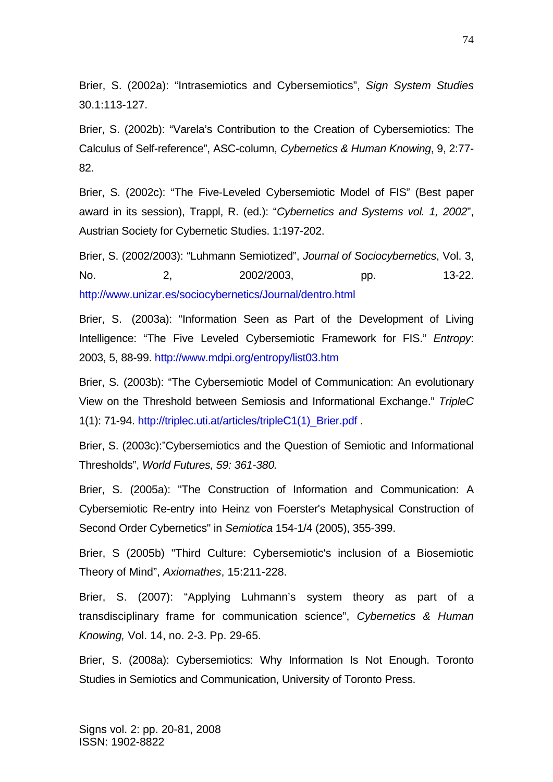Brier, S. (2002a): "Intrasemiotics and Cybersemiotics", *Sign System Studies*  30.1:113-127.

Brier, S. (2002b): "Varela's Contribution to the Creation of Cybersemiotics: The Calculus of Self-reference", ASC-column, *Cybernetics & Human Knowing*, 9, 2:77- 82.

Brier, S. (2002c): "The Five-Leveled Cybersemiotic Model of FIS" (Best paper award in its session), Trappl, R. (ed.): "*Cybernetics and Systems vol. 1, 2002*", Austrian Society for Cybernetic Studies. 1:197-202.

Brier, S. (2002/2003): "Luhmann Semiotized", *Journal of Sociocybernetics*, Vol. 3, No. 2, 2002/2003, pp. 13-22. http://www.unizar.es/sociocybernetics/Journal/dentro.html

Brier, S. (2003a): "Information Seen as Part of the Development of Living Intelligence: "The Five Leveled Cybersemiotic Framework for FIS." *Entropy*: 2003, 5, 88-99. http://www.mdpi.org/entropy/list03.htm

Brier, S. (2003b): "The Cybersemiotic Model of Communication: An evolutionary View on the Threshold between Semiosis and Informational Exchange." *TripleC*  1(1): 71-94. http://triplec.uti.at/articles/tripleC1(1)\_Brier.pdf .

Brier, S. (2003c):"Cybersemiotics and the Question of Semiotic and Informational Thresholds", *World Futures, 59: 361-380.*

Brier, S. (2005a): "The Construction of Information and Communication: A Cybersemiotic Re-entry into Heinz von Foerster's Metaphysical Construction of Second Order Cybernetics" in *Semiotica* 154-1/4 (2005), 355-399.

Brier, S (2005b) "Third Culture: Cybersemiotic's inclusion of a Biosemiotic Theory of Mind", *Axiomathes*, 15:211-228.

Brier, S. (2007): "Applying Luhmann's system theory as part of a transdisciplinary frame for communication science", *Cybernetics & Human Knowing,* Vol. 14, no. 2-3. Pp. 29-65.

Brier, S. (2008a): Cybersemiotics: Why Information Is Not Enough. Toronto Studies in Semiotics and Communication, University of Toronto Press.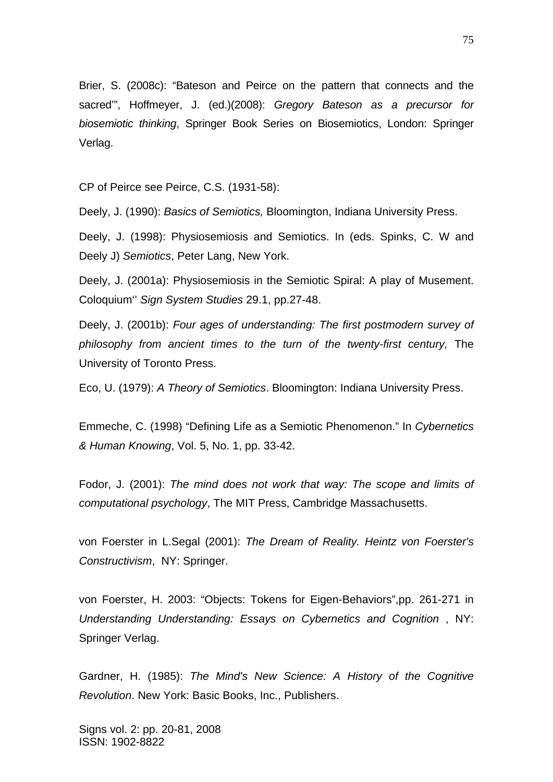Brier, S. (2008c): "Bateson and Peirce on the pattern that connects and the sacred'", Hoffmeyer, J. (ed.)(2008): *Gregory Bateson as a precursor for biosemiotic thinking*, Springer Book Series on Biosemiotics, London: Springer Verlag.

CP of Peirce see Peirce, C.S. (1931-58):

Deely, J. (1990): *Basics of Semiotics,* Bloomington, Indiana University Press.

Deely, J. (1998): Physiosemiosis and Semiotics. In (eds. Spinks, C. W and Deely J) *Semiotics*, Peter Lang, New York.

Deely, J. (2001a): Physiosemiosis in the Semiotic Spiral: A play of Musement. Coloquium'' *Sign System Studies* 29.1, pp.27-48.

Deely, J. (2001b): *Four ages of understanding: The first postmodern survey of philosophy from ancient times to the turn of the twenty-first century,* The University of Toronto Press.

Eco, U. (1979): *A Theory of Semiotics*. Bloomington: Indiana University Press.

Emmeche, C. (1998) "Defining Life as a Semiotic Phenomenon." In *Cybernetics & Human Knowing*, Vol. 5, No. 1, pp. 33-42.

Fodor, J. (2001): *The mind does not work that way: The scope and limits of computational psychology*, The MIT Press, Cambridge Massachusetts.

von Foerster in L.Segal (2001): *The Dream of Reality. Heintz von Foerster's Constructivism*, NY: Springer.

von Foerster, H. 2003: "Objects: Tokens for Eigen-Behaviors",pp. 261-271 in *Understanding Understanding: Essays on Cybernetics and Cognition* , NY: Springer Verlag.

Gardner, H. (1985): *The Mind's New Science: A History of the Cognitive Revolution*. New York: Basic Books, Inc., Publishers.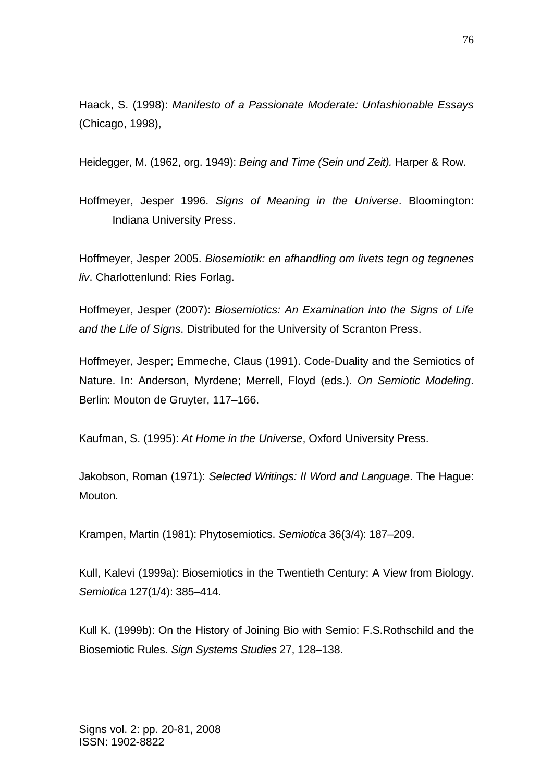Haack, S. (1998): *Manifesto of a Passionate Moderate: Unfashionable Essays* (Chicago, 1998),

Heidegger, M. (1962, org. 1949): *Being and Time (Sein und Zeit).* Harper & Row.

Hoffmeyer, Jesper 1996. *Signs of Meaning in the Universe*. Bloomington: Indiana University Press.

Hoffmeyer, Jesper 2005. *Biosemiotik: en afhandling om livets tegn og tegnenes liv*. Charlottenlund: Ries Forlag.

Hoffmeyer, Jesper (2007): *Biosemiotics: An Examination into the Signs of Life and the Life of Signs*. Distributed for the University of Scranton Press.

Hoffmeyer, Jesper; Emmeche, Claus (1991). Code-Duality and the Semiotics of Nature. In: Anderson, Myrdene; Merrell, Floyd (eds.). *On Semiotic Modeling*. Berlin: Mouton de Gruyter, 117–166.

Kaufman, S. (1995): *At Home in the Universe*, Oxford University Press.

Jakobson, Roman (1971): *Selected Writings: II Word and Language*. The Hague: Mouton.

Krampen, Martin (1981): Phytosemiotics. *Semiotica* 36(3/4): 187–209.

Kull, Kalevi (1999a): Biosemiotics in the Twentieth Century: A View from Biology. *Semiotica* 127(1/4): 385–414.

Kull K. (1999b): On the History of Joining Bio with Semio: F.S.Rothschild and the Biosemiotic Rules. *Sign Systems Studies* 27, 128–138.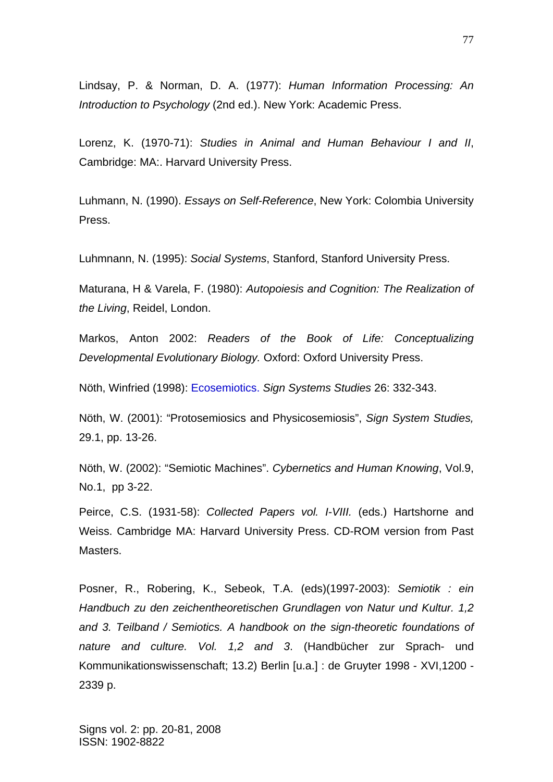Lindsay, P. & Norman, D. A. (1977): *Human Information Processing: An Introduction to Psychology* (2nd ed.). New York: Academic Press.

Lorenz, K. (1970-71): *Studies in Animal and Human Behaviour I and II*, Cambridge: MA:. Harvard University Press.

Luhmann, N. (1990). *Essays on Self-Reference*, New York: Colombia University Press.

Luhmnann, N. (1995): *Social Systems*, Stanford, Stanford University Press.

Maturana, H & Varela, F. (1980): *Autopoiesis and Cognition: The Realization of the Living*, Reidel, London.

Markos, Anton 2002: *Readers of the Book of Life: Conceptualizing Developmental Evolutionary Biology.* Oxford: Oxford University Press.

Nöth, Winfried (1998): Ecosemiotics. *Sign Systems Studies* 26: 332-343.

Nöth, W. (2001): "Protosemiosics and Physicosemiosis", *Sign System Studies,* 29.1, pp. 13-26.

Nöth, W. (2002): "Semiotic Machines". *Cybernetics and Human Knowing*, Vol.9, No.1, pp 3-22.

Peirce, C.S. (1931-58): *Collected Papers vol. I-VIII.* (eds.) Hartshorne and Weiss. Cambridge MA: Harvard University Press. CD-ROM version from Past Masters.

Posner, R., Robering, K., Sebeok, T.A. (eds)(1997-2003): *Semiotik : ein Handbuch zu den zeichentheoretischen Grundlagen von Natur und Kultur. 1,2 and 3. Teilband / Semiotics. A handbook on the sign-theoretic foundations of nature and culture. Vol. 1,2 and 3*. (Handbücher zur Sprach- und Kommunikationswissenschaft; 13.2) Berlin [u.a.] : de Gruyter 1998 - XVI,1200 - 2339 p.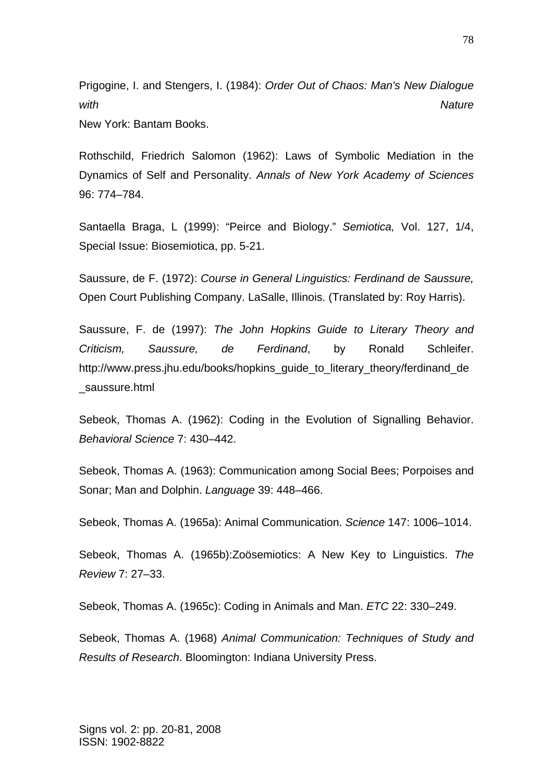Prigogine, I. and Stengers, I. (1984): *Order Out of Chaos: Man's New Dialogue with Nature*

New York: Bantam Books.

Rothschild, Friedrich Salomon (1962): Laws of Symbolic Mediation in the Dynamics of Self and Personality. *Annals of New York Academy of Sciences* 96: 774–784.

Santaella Braga, L (1999): "Peirce and Biology." *Semiotica,* Vol. 127, 1/4, Special Issue: Biosemiotica, pp. 5-21.

Saussure, de F. (1972): *Course in General Linguistics: Ferdinand de Saussure,* Open Court Publishing Company. LaSalle, Illinois. (Translated by: Roy Harris).

Saussure, F. de (1997): *The John Hopkins Guide to Literary Theory and Criticism, Saussure, de Ferdinand*, by Ronald Schleifer. http://www.press.jhu.edu/books/hopkins\_guide\_to\_literary\_theory/ferdinand\_de \_saussure.html

Sebeok, Thomas A. (1962): Coding in the Evolution of Signalling Behavior. *Behavioral Science* 7: 430–442.

Sebeok, Thomas A. (1963): Communication among Social Bees; Porpoises and Sonar; Man and Dolphin. *Language* 39: 448–466.

Sebeok, Thomas A. (1965a): Animal Communication. *Science* 147: 1006–1014.

Sebeok, Thomas A. (1965b):Zoösemiotics: A New Key to Linguistics. *The Review* 7: 27–33.

Sebeok, Thomas A. (1965c): Coding in Animals and Man. *ETC* 22: 330–249.

Sebeok, Thomas A. (1968) *Animal Communication: Techniques of Study and Results of Research*. Bloomington: Indiana University Press.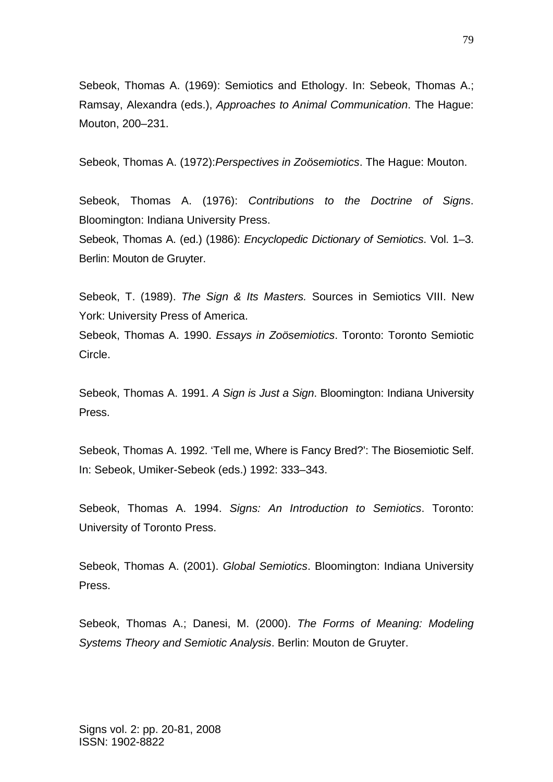Sebeok, Thomas A. (1969): Semiotics and Ethology. In: Sebeok, Thomas A.; Ramsay, Alexandra (eds.), *Approaches to Animal Communication*. The Hague: Mouton, 200–231.

Sebeok, Thomas A. (1972):*Perspectives in Zoösemiotics*. The Hague: Mouton.

Sebeok, Thomas A. (1976): *Contributions to the Doctrine of Signs*. Bloomington: Indiana University Press.

Sebeok, Thomas A. (ed.) (1986): *Encyclopedic Dictionary of Semiotics*. Vol. 1–3. Berlin: Mouton de Gruyter.

Sebeok, T. (1989). *The Sign & Its Masters.* Sources in Semiotics VIII. New York: University Press of America.

Sebeok, Thomas A. 1990. *Essays in Zoösemiotics*. Toronto: Toronto Semiotic Circle.

Sebeok, Thomas A. 1991. *A Sign is Just a Sign*. Bloomington: Indiana University Press.

Sebeok, Thomas A. 1992. 'Tell me, Where is Fancy Bred?': The Biosemiotic Self. In: Sebeok, Umiker-Sebeok (eds.) 1992: 333–343.

Sebeok, Thomas A. 1994. *Signs: An Introduction to Semiotics*. Toronto: University of Toronto Press.

Sebeok, Thomas A. (2001). *Global Semiotics*. Bloomington: Indiana University Press.

Sebeok, Thomas A.; Danesi, M. (2000). *The Forms of Meaning: Modeling Systems Theory and Semiotic Analysis*. Berlin: Mouton de Gruyter.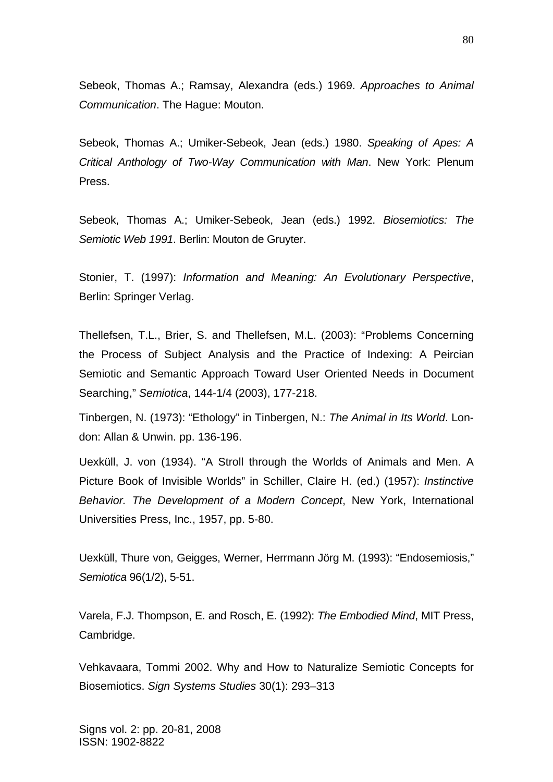Sebeok, Thomas A.; Ramsay, Alexandra (eds.) 1969. *Approaches to Animal Communication*. The Hague: Mouton.

Sebeok, Thomas A.; Umiker-Sebeok, Jean (eds.) 1980. *Speaking of Apes: A Critical Anthology of Two-Way Communication with Man*. New York: Plenum Press.

Sebeok, Thomas A.; Umiker-Sebeok, Jean (eds.) 1992. *Biosemiotics: The Semiotic Web 1991*. Berlin: Mouton de Gruyter.

Stonier, T. (1997): *Information and Meaning: An Evolutionary Perspective*, Berlin: Springer Verlag.

Thellefsen, T.L., Brier, S. and Thellefsen, M.L. (2003): "Problems Concerning the Process of Subject Analysis and the Practice of Indexing: A Peircian Semiotic and Semantic Approach Toward User Oriented Needs in Document Searching," *Semiotica*, 144-1/4 (2003), 177-218.

Tinbergen, N. (1973): "Ethology" in Tinbergen, N.: *The Animal in Its World*. London: Allan & Unwin. pp. 136-196.

Uexküll, J. von (1934). "A Stroll through the Worlds of Animals and Men. A Picture Book of Invisible Worlds" in Schiller, Claire H. (ed.) (1957): *Instinctive Behavior. The Development of a Modern Concept*, New York, International Universities Press, Inc., 1957, pp. 5-80.

Uexküll, Thure von, Geigges, Werner, Herrmann Jörg M. (1993): "Endosemiosis," *Semiotica* 96(1/2), 5-51.

Varela, F.J. Thompson, E. and Rosch, E. (1992): *The Embodied Mind*, MIT Press, Cambridge.

Vehkavaara, Tommi 2002. Why and How to Naturalize Semiotic Concepts for Biosemiotics. *Sign Systems Studies* 30(1): 293–313